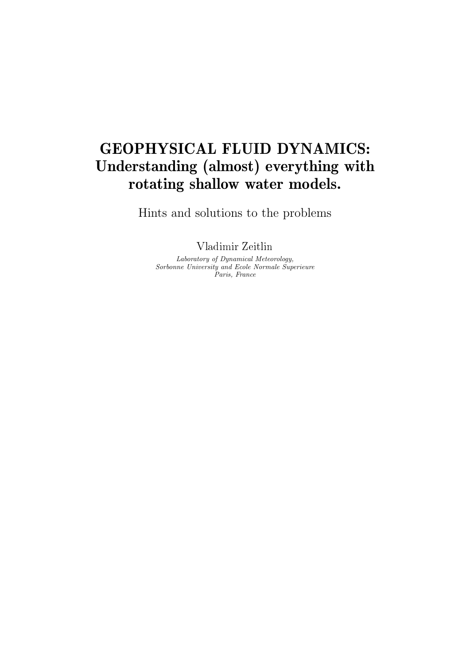# GEOPHYSICAL FLUID DYNAMICS: Understanding (almost) everything with rotating shallow water models.

Hints and solutions to the problems

Vladimir Zeitlin

Laboratory of Dynamical Meteorology, Sorbonne University and Ecole Normale Superieure Paris, France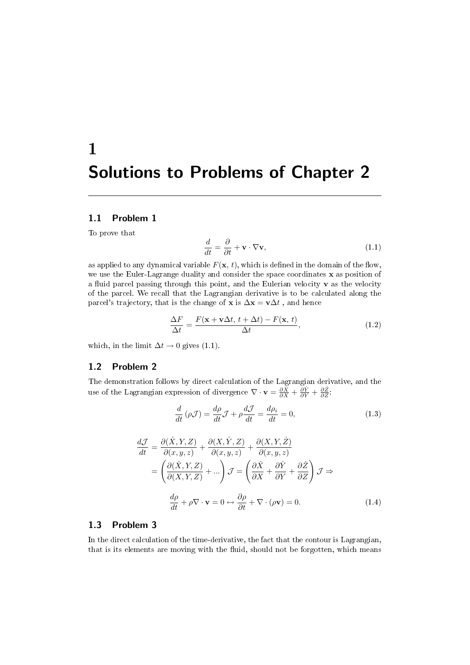# 1 Solutions to Problems of Chapter 2

## 1.1 Problem 1

To prove that

$$
\frac{d}{dt} = \frac{\partial}{\partial t} + \mathbf{v} \cdot \nabla \mathbf{v},\tag{1.1}
$$

as applied to any dynamical variable  $F(\mathbf{x}, t)$ , which is defined in the domain of the flow, we use the Euler-Lagrange duality and consider the space coordinates x as position of a fluid parcel passing through this point, and the Eulerian velocity  $\mathbf v$  as the velocity of the parcel. We recall that the Lagrangian derivative is to be calculated along the parcel's trajectory, that is the change of **x** is  $\Delta \mathbf{x} = \mathbf{v} \Delta t$ , and hence

$$
\frac{\Delta F}{\Delta t} = \frac{F(\mathbf{x} + \mathbf{v}\Delta t, t + \Delta t) - F(\mathbf{x}, t)}{\Delta t},
$$
\n(1.2)

which, in the limit  $\Delta t \rightarrow 0$  gives (1.1).

# 1.2 Problem 2

The demonstration follows by direct calculation of the Lagrangian derivative, and the use of the Lagrangian expression of divergence  $\nabla \cdot \mathbf{v} = \frac{\partial \dot{x}}{\partial x} + \frac{\partial \dot{Y}}{\partial y} + \frac{\partial \dot{Z}}{\partial z}$ .

$$
\frac{d}{dt}(\rho \mathcal{J}) = \frac{d\rho}{dt}\mathcal{J} + \rho \frac{d\mathcal{J}}{dt} = \frac{d\rho_i}{dt} = 0,
$$
\n(1.3)

$$
\frac{d\mathcal{J}}{dt} = \frac{\partial(\dot{X}, Y, Z)}{\partial(x, y, z)} + \frac{\partial(X, \dot{Y}, Z)}{\partial(x, y, z)} + \frac{\partial(X, Y, \dot{Z})}{\partial(x, y, z)}
$$
\n
$$
= \left(\frac{\partial(\dot{X}, Y, Z)}{\partial(X, Y, Z)} + \dots\right) \mathcal{J} = \left(\frac{\partial \dot{X}}{\partial X} + \frac{\partial \dot{Y}}{\partial Y} + \frac{\partial \dot{Z}}{\partial Z}\right) \mathcal{J} \Rightarrow
$$
\n
$$
\frac{d\rho}{dt} + \rho \nabla \cdot \mathbf{v} = 0 \leftrightarrow \frac{\partial \rho}{\partial t} + \nabla \cdot (\rho \mathbf{v}) = 0.
$$
\n(1.4)

# 1.3 Problem 3

In the direct calculation of the time-derivative, the fact that the contour is Lagrangian, that is its elements are moving with the fluid, should not be forgotten, which means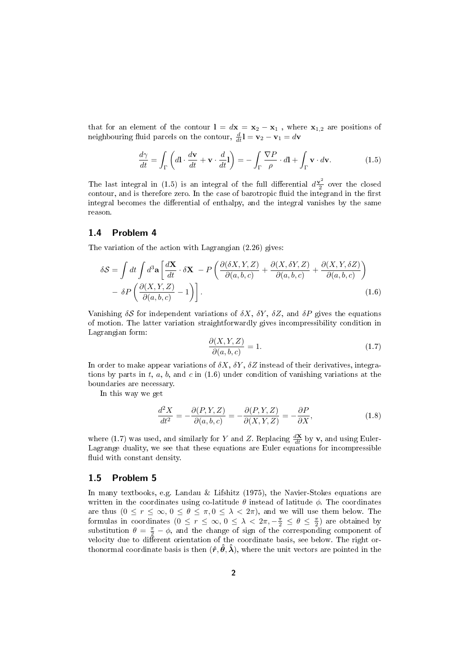that for an element of the contour  $\mathbf{l} = d\mathbf{x} = \mathbf{x}_2 - \mathbf{x}_1$ , where  $\mathbf{x}_{1,2}$  are positions of neighbouring fluid parcels on the contour,  $\frac{d}{dt} \mathbf{l} = \mathbf{v}_2 - \mathbf{v}_1 = d\mathbf{v}$ 

$$
\frac{d\gamma}{dt} = \int_{\Gamma} \left( d\mathbf{l} \cdot \frac{d\mathbf{v}}{dt} + \mathbf{v} \cdot \frac{d}{dt} \mathbf{l} \right) = -\int_{\Gamma} \frac{\nabla P}{\rho} \cdot d\mathbf{l} + \int_{\Gamma} \mathbf{v} \cdot d\mathbf{v}.
$$
 (1.5)

The last integral in (1.5) is an integral of the full differential  $d\frac{\mathbf{v}^2}{2}$  $\frac{\sqrt{2}}{2}$  over the closed contour, and is therefore zero. In the case of barotropic fluid the integrand in the first integral becomes the differential of enthalpy, and the integral vanishes by the same reason.

#### 1.4 Problem 4

The variation of the action with Lagrangian (2.26) gives:

$$
\delta S = \int dt \int d^3 \mathbf{a} \left[ \frac{d \mathbf{X}}{dt} \cdot \delta \mathbf{X} - P \left( \frac{\partial (\delta X, Y, Z)}{\partial (a, b, c)} + \frac{\partial (X, \delta Y, Z)}{\partial (a, b, c)} + \frac{\partial (X, Y, \delta Z)}{\partial (a, b, c)} \right) - \delta P \left( \frac{\partial (X, Y, Z)}{\partial (a, b, c)} - 1 \right) \right].
$$
\n(1.6)

Vanishing  $\delta S$  for independent variations of  $\delta X$ ,  $\delta Y$ ,  $\delta Z$ , and  $\delta P$  gives the equations of motion. The latter variation straightforwardly gives incompressibility condition in Lagrangian form:

$$
\frac{\partial(X,Y,Z)}{\partial(a,b,c)} = 1.
$$
\n(1.7)

In order to make appear variations of  $\delta X$ ,  $\delta Y$ ,  $\delta Z$  instead of their derivatives, integrations by parts in t, a, b, and c in  $(1.6)$  under condition of vanishing variations at the boundaries are necessary.

In this way we get

$$
\frac{d^2X}{dt^2} = -\frac{\partial(P, Y, Z)}{\partial(a, b, c)} = -\frac{\partial(P, Y, Z)}{\partial(X, Y, Z)} = -\frac{\partial P}{\partial X},\tag{1.8}
$$

where (1.7) was used, and similarly for Y and Z. Replacing  $\frac{d\mathbf{X}}{dt}$  by **v**, and using Euler-Lagrange duality, we see that these equations are Euler equations for incompressible fluid with constant density.

#### 1.5 Problem 5

In many textbooks, e.g. Landau & Lifshitz (1975), the Navier-Stokes equations are written in the coordinates using co-latitude  $\theta$  instead of latitude  $\phi$ . The coordinates are thus  $(0 \le r \le \infty, 0 \le \theta \le \pi, 0 \le \lambda < 2\pi)$ , and we will use them below. The formulas in coordinates  $(0 \le r \le \infty, 0 \le \lambda < 2\pi, -\frac{\pi}{2} \le \theta \le \frac{\pi}{2})$  are obtained by substitution  $\theta = \frac{\pi}{2} - \phi$ , and the change of sign of the corresponding component of velocity due to different orientation of the coordinate basis, see below. The right orthonormal coordinate basis is then  $(\hat{r}, \hat{\theta}, \hat{\lambda})$ , where the unit vectors are pointed in the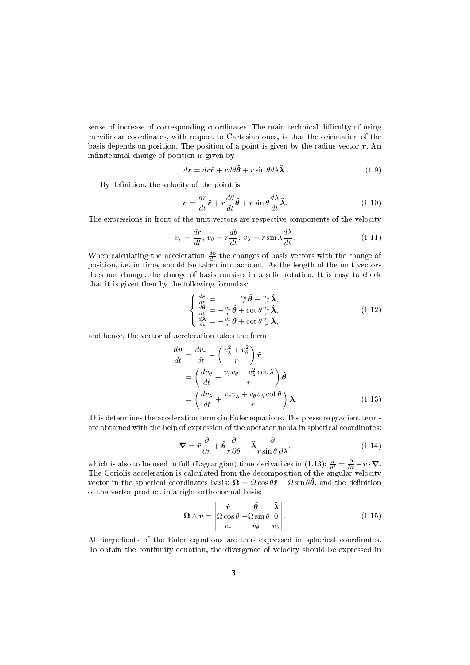sense of increase of corresponding coordinates. The main technical difficulty of using curvilinear coordinates, with respect to Cartesian ones, is that the orientation of the basis depends on position. The position of a point is given by the radius-vector  $r$ . An infinitesimal change of position is given by

$$
dr = dr\hat{\mathbf{r}} + r d\theta \hat{\boldsymbol{\theta}} + r \sin \theta d\lambda \hat{\boldsymbol{\lambda}}.
$$
 (1.9)

By definition, the velocity of the point is

$$
\mathbf{v} = \frac{dr}{dt}\hat{\mathbf{r}} + r\frac{d\theta}{dt}\hat{\boldsymbol{\theta}} + r\sin\theta\frac{d\lambda}{dt}\hat{\boldsymbol{\lambda}}.\tag{1.10}
$$

The expressions in front of the unit vectors are respective components of the velocity

$$
v_r = \frac{dr}{dt}, v_\theta = r\frac{d\theta}{dt}, v_\lambda = r\sin\lambda\frac{d\lambda}{dt}.
$$
 (1.11)

When calculating the acceleration  $\frac{dv}{dt}$  the changes of basis vectors with the change of position, i.e. in time, should be taken into account. As the length of the unit vectors does not change, the change of basis consists in a solid rotation. It is easy to check that it is given then by the following formulas:

$$
\begin{cases}\n\frac{d\hat{r}}{dt} = \frac{v_{\theta}}{r} \hat{\theta} + \frac{v_{\lambda}}{r} \hat{\lambda}, \n\frac{d\hat{\theta}}{dt} = -\frac{v_{\theta}}{r} \hat{\theta} + \cot \theta \frac{v_{\lambda}}{r} \hat{\lambda}, \n\frac{d\hat{\lambda}}{dt} = -\frac{v_{\theta}}{r} \hat{\theta} + \cot \theta \frac{v_{\lambda}}{r} \hat{\lambda},\n\end{cases}
$$
\n(1.12)

and hence, the vector of acceleration takes the form

$$
\begin{split} \frac{d\boldsymbol{v}}{dt} &= \frac{dv_r}{dt} - \left(\frac{v_\lambda^2 + v_\theta^2}{r}\right)\hat{\boldsymbol{r}} \\ &= \left(\frac{dv_\theta}{dt} + \frac{v_r v_\theta - v_\lambda^2 \cot \lambda}{r}\right)\hat{\boldsymbol{\theta}} \\ &= \left(\frac{dv_\lambda}{dt} + \frac{v_r v_\lambda + v_\theta v_\lambda \cot \theta}{r}\right)\hat{\boldsymbol{\lambda}}. \end{split} \tag{1.13}
$$

This determines the acceleration terms in Euler equations. The pressure gradient terms are obtained with the help of expression of the operator nabla in spherical coordinates:

$$
\nabla = \hat{r}\frac{\partial}{\partial r} + \hat{\theta}\frac{\partial}{r\,\partial\theta} + \hat{\lambda}\frac{\partial}{r\sin\theta\,\partial\lambda},\tag{1.14}
$$

which is also to be used in full (Lagrangian) time-derivatives in (1.13):  $\frac{d}{dt} = \frac{\partial}{\partial t} + \mathbf{v} \cdot \nabla$ . The Coriolis acceleration is calculated from the decomposition of the angular velocity vector in the spherical coordinates basis:  $\mathbf{\Omega} = \Omega \cos \theta \hat{r} - \Omega \sin \theta \hat{\theta}$ , and the definition of the vector product in a right orthonormal basis:

$$
\boldsymbol{\Omega} \wedge \boldsymbol{v} = \begin{vmatrix} \hat{\boldsymbol{r}} & \hat{\boldsymbol{\theta}} & \hat{\boldsymbol{\lambda}} \\ \Omega \cos \theta & -\Omega \sin \theta & 0 \\ v_r & v_{\theta} & v_{\lambda} \end{vmatrix} . \tag{1.15}
$$

All ingredients of the Euler equations are thus expressed in spherical coordinates. To obtain the continuity equation, the divergence of velocity should be expressed in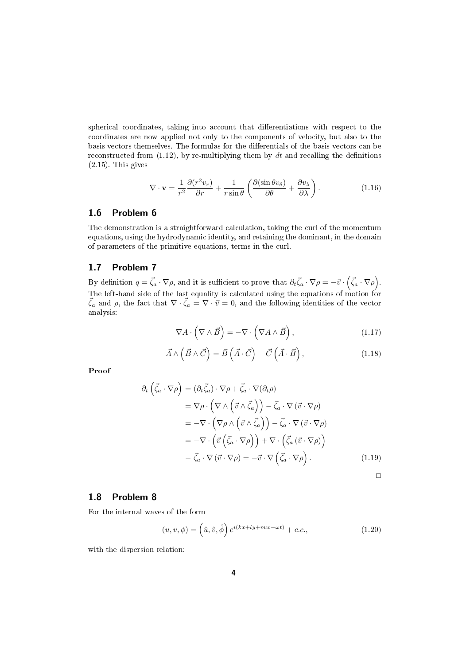spherical coordinates, taking into account that differentiations with respect to the coordinates are now applied not only to the components of velocity, but also to the basis vectors themselves. The formulas for the differentials of the basis vectors can be reconstructed from  $(1.12)$ , by re-multiplying them by dt and recalling the definitions (2.15). This gives

$$
\nabla \cdot \mathbf{v} = \frac{1}{r^2} \frac{\partial (r^2 v_r)}{\partial r} + \frac{1}{r \sin \theta} \left( \frac{\partial (\sin \theta v_\theta)}{\partial \theta} + \frac{\partial v_\lambda}{\partial \lambda} \right).
$$
 (1.16)

### 1.6 Problem 6

The demonstration is a straightforward calculation, taking the curl of the momentum equations, using the hydrodynamic identity, and retaining the dominant, in the domain of parameters of the primitive equations, terms in the curl.

# 1.7 Problem 7

By definition  $q = \vec{\zeta}_a \cdot \nabla \rho$ , and it is sufficient to prove that  $\partial_t \vec{\zeta}_a \cdot \nabla \rho = -\vec{v} \cdot (\vec{\zeta}_a \cdot \nabla \rho)$ . The left-hand side of the last equality is calculated using the equations of motion for  $\vec{\zeta}_a$  and  $\rho$ , the fact that  $\nabla \cdot \vec{\zeta}_a = \nabla \cdot \vec{v} = 0$ , and the following identities of the vector analysis:

$$
\nabla A \cdot \left( \nabla \wedge \vec{B} \right) = -\nabla \cdot \left( \nabla A \wedge \vec{B} \right),\tag{1.17}
$$

$$
\vec{A} \wedge (\vec{B} \wedge \vec{C}) = \vec{B} \left( \vec{A} \cdot \vec{C} \right) - \vec{C} \left( \vec{A} \cdot \vec{B} \right), \tag{1.18}
$$

Proof

$$
\partial_t \left( \vec{\zeta}_a \cdot \nabla \rho \right) = (\partial_t \vec{\zeta}_a) \cdot \nabla \rho + \vec{\zeta}_a \cdot \nabla (\partial_t \rho)
$$
  
\n
$$
= \nabla \rho \cdot \left( \nabla \wedge \left( \vec{v} \wedge \vec{\zeta}_a \right) \right) - \vec{\zeta}_a \cdot \nabla (\vec{v} \cdot \nabla \rho)
$$
  
\n
$$
= - \nabla \cdot \left( \nabla \rho \wedge \left( \vec{v} \wedge \vec{\zeta}_a \right) \right) - \vec{\zeta}_a \cdot \nabla (\vec{v} \cdot \nabla \rho)
$$
  
\n
$$
= - \nabla \cdot \left( \vec{v} \left( \vec{\zeta}_a \cdot \nabla \rho \right) \right) + \nabla \cdot \left( \vec{\zeta}_a (\vec{v} \cdot \nabla \rho) \right)
$$
  
\n
$$
- \vec{\zeta}_a \cdot \nabla (\vec{v} \cdot \nabla \rho) = - \vec{v} \cdot \nabla \left( \vec{\zeta}_a \cdot \nabla \rho \right).
$$
 (1.19)

 $\Box$ 

# 1.8 Problem 8

For the internal waves of the form

$$
(u, v, \phi) = \left(\hat{u}, \hat{v}, \hat{\phi}\right) e^{i(kx + ly + mw - \omega t)} + c.c.,\tag{1.20}
$$

with the dispersion relation: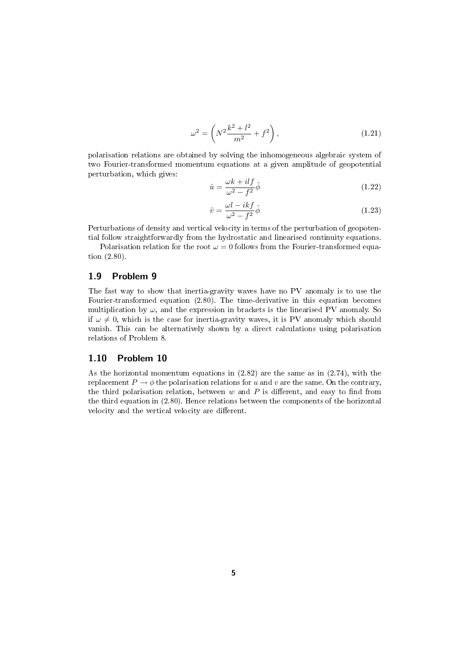$$
\omega^2 = \left( N^2 \frac{k^2 + l^2}{m^2} + f^2 \right),\tag{1.21}
$$

polarisation relations are obtained by solving the inhomogeneous algebraic system of two Fourier-transformed momentum equations at a given amplitude of geopotential perturbation, which gives:

$$
\hat{u} = \frac{\omega k + ilf}{\omega^2 - f^2} \hat{\phi}
$$
\n(1.22)

$$
\hat{v} = \frac{\omega l - i k f}{\omega^2 - f^2} \hat{\phi}
$$
\n(1.23)

Perturbations of density and vertical velocity in terms of the perturbation of geopotential follow straightforwardly from the hydrostatic and linearised continuity equations.

Polarisation relation for the root  $\omega = 0$  follows from the Fourier-transformed equation (2.80).

# 1.9 Problem 9

The fast way to show that inertia-gravity waves have no PV anomaly is to use the Fourier-transformed equation (2.80). The time-derivative in this equation becomes multiplication by  $\omega$ , and the expression in brackets is the linearised PV anomaly. So if  $\omega \neq 0$ , which is the case for inertia-gravity waves, it is PV anomaly which should vanish. This can be alternatively shown by a direct calculations using polarisation relations of Problem 8.

# 1.10 Problem 10

As the horizontal momentum equations in  $(2.82)$  are the same as in  $(2.74)$ , with the replacement  $P \to \phi$  the polarisation relations for u and v are the same. On the contrary, the third polarisation relation, between  $w$  and  $P$  is different, and easy to find from the third equation in (2.80). Hence relations between the components of the horizontal velocity and the vertical velocity are different.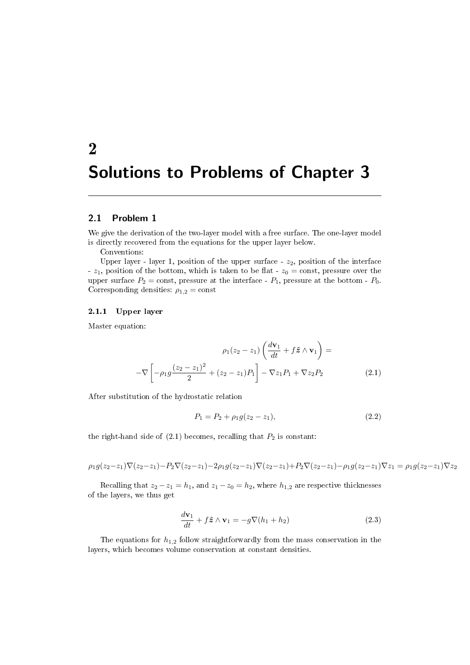# 2 Solutions to Problems of Chapter 3

### 2.1 Problem 1

We give the derivation of the two-layer model with a free surface. The one-layer model is directly recovered from the equations for the upper layer below.

Conventions:

Upper layer - layer 1, position of the upper surface -  $z_2$ , position of the interface -  $z_1$ , position of the bottom, which is taken to be flat -  $z_0 = \text{const}$ , pressure over the upper surface  $P_2 = \text{const}$ , pressure at the interface -  $P_1$ , pressure at the bottom -  $P_0$ . Corresponding densities:  $\rho_{1,2} = \text{const}$ 

#### 2.1.1 Upper layer

Master equation:

$$
\rho_1(z_2 - z_1) \left( \frac{d\mathbf{v}_1}{dt} + f\hat{\mathbf{z}} \wedge \mathbf{v}_1 \right) =
$$

$$
-\nabla \left[ -\rho_1 g \frac{(z_2 - z_1)^2}{2} + (z_2 - z_1) P_1 \right] - \nabla z_1 P_1 + \nabla z_2 P_2 \tag{2.1}
$$

After substitution of the hydrostatic relation

$$
P_1 = P_2 + \rho_1 g(z_2 - z_1),\tag{2.2}
$$

the right-hand side of  $(2.1)$  becomes, recalling that  $P_2$  is constant:

$$
\rho_1 g(z_2 - z_1) \nabla (z_2 - z_1) - P_2 \nabla (z_2 - z_1) - 2 \rho_1 g(z_2 - z_1) \nabla (z_2 - z_1) + P_2 \nabla (z_2 - z_1) - \rho_1 g(z_2 - z_1) \nabla z_1 = \rho_1 g(z_2 - z_1) \nabla z_2
$$

Recalling that  $z_2 - z_1 = h_1$ , and  $z_1 - z_0 = h_2$ , where  $h_{1,2}$  are respective thicknesses of the layers, we thus get

$$
\frac{d\mathbf{v}_1}{dt} + f\hat{\mathbf{z}} \wedge \mathbf{v}_1 = -g\nabla(h_1 + h_2)
$$
\n(2.3)

The equations for  $h_{1,2}$  follow straightforwardly from the mass conservation in the layers, which becomes volume conservation at constant densities.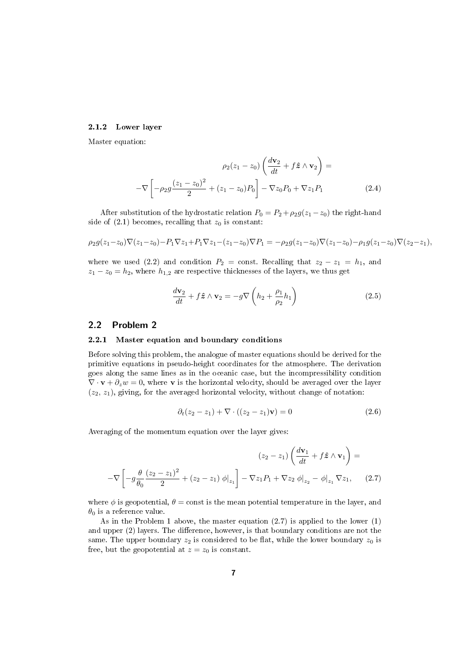#### 2.1.2 Lower layer

Master equation:

$$
\rho_2(z_1 - z_0) \left( \frac{d\mathbf{v}_2}{dt} + f \hat{\mathbf{z}} \wedge \mathbf{v}_2 \right) = -\nabla \left[ -\rho_2 g \frac{(z_1 - z_0)^2}{2} + (z_1 - z_0) P_0 \right] - \nabla z_0 P_0 + \nabla z_1 P_1 \tag{2.4}
$$

After substitution of the hydrostatic relation  $P_0 = P_2 + \rho_2 g(z_1 - z_0)$  the right-hand side of  $(2.1)$  becomes, recalling that  $z_0$  is constant:

$$
\rho_2 g(z_1 - z_0) \nabla (z_1 - z_0) - P_1 \nabla z_1 + P_1 \nabla z_1 - (z_1 - z_0) \nabla P_1 = -\rho_2 g(z_1 - z_0) \nabla (z_1 - z_0) - \rho_1 g(z_1 - z_0) \nabla (z_2 - z_1),
$$

where we used (2.2) and condition  $P_2 = \text{const.}$  Recalling that  $z_2 - z_1 = h_1$ , and  $z_1 - z_0 = h_2$ , where  $h_{1,2}$  are respective thicknesses of the layers, we thus get

$$
\frac{d\mathbf{v}_2}{dt} + f\hat{\mathbf{z}} \wedge \mathbf{v}_2 = -g\nabla \left(h_2 + \frac{\rho_1}{\rho_2}h_1\right) \tag{2.5}
$$

### 2.2 Problem 2

#### 2.2.1 Master equation and boundary conditions

Before solving this problem, the analogue of master equations should be derived for the primitive equations in pseudo-height coordinates for the atmosphere. The derivation goes along the same lines as in the oceanic case, but the incompressibility condition  $\nabla \cdot \mathbf{v} + \partial_z w = 0$ , where **v** is the horizontal velocity, should be averaged over the layer  $(z_2, z_1)$ , giving, for the averaged horizontal velocity, without change of notation:

$$
\partial_t (z_2 - z_1) + \nabla \cdot ((z_2 - z_1) \mathbf{v}) = 0 \tag{2.6}
$$

Averaging of the momentum equation over the layer gives:

$$
(z_2 - z_1) \left( \frac{d\mathbf{v}_1}{dt} + f \hat{\mathbf{z}} \wedge \mathbf{v}_1 \right) =
$$
  
- $\nabla \left[ -g \frac{\theta}{\theta_0} \frac{(z_2 - z_1)^2}{2} + (z_2 - z_1) \phi \big|_{z_1} \right] - \nabla z_1 P_1 + \nabla z_2 \phi \big|_{z_2} - \phi \big|_{z_1} \nabla z_1, \quad (2.7)$ 

where  $\phi$  is geopotential,  $\theta$  = const is the mean potential temperature in the layer, and  $\theta_0$  is a reference value.

As in the Problem 1 above, the master equation (2.7) is applied to the lower (1) and upper  $(2)$  layers. The difference, however, is that boundary conditions are not the same. The upper boundary  $z_2$  is considered to be flat, while the lower boundary  $z_0$  is free, but the geopotential at  $z = z_0$  is constant.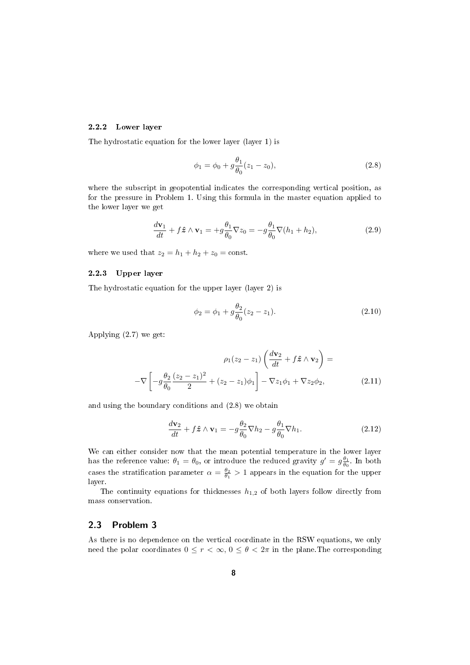#### 2.2.2 Lower layer

The hydrostatic equation for the lower layer (layer 1) is

$$
\phi_1 = \phi_0 + g \frac{\theta_1}{\theta_0} (z_1 - z_0),\tag{2.8}
$$

where the subscript in geopotential indicates the corresponding vertical position, as for the pressure in Problem 1. Using this formula in the master equation applied to the lower layer we get

$$
\frac{d\mathbf{v}_1}{dt} + f\hat{\mathbf{z}} \wedge \mathbf{v}_1 = +g\frac{\theta_1}{\theta_0}\nabla z_0 = -g\frac{\theta_1}{\theta_0}\nabla(h_1 + h_2),\tag{2.9}
$$

where we used that  $z_2 = h_1 + h_2 + z_0 = \text{const.}$ 

#### 2.2.3 Upper layer

The hydrostatic equation for the upper layer (layer 2) is

$$
\phi_2 = \phi_1 + g \frac{\theta_2}{\theta_0} (z_2 - z_1).
$$
\n(2.10)

Applying (2.7) we get:

$$
\rho_1(z_2 - z_1) \left( \frac{d\mathbf{v}_2}{dt} + f \hat{\mathbf{z}} \wedge \mathbf{v}_2 \right) =
$$

$$
-\nabla \left[ -g \frac{\theta_2}{\theta_0} \frac{(z_2 - z_1)^2}{2} + (z_2 - z_1)\phi_1 \right] - \nabla z_1 \phi_1 + \nabla z_2 \phi_2, \tag{2.11}
$$

and using the boundary conditions and (2.8) we obtain

$$
\frac{d\mathbf{v}_2}{dt} + f\hat{\mathbf{z}} \wedge \mathbf{v}_1 = -g\frac{\theta_2}{\theta_0} \nabla h_2 - g\frac{\theta_1}{\theta_0} \nabla h_1.
$$
\n(2.12)

We can either consider now that the mean potential temperature in the lower layer has the reference value:  $\theta_1 = \theta_0$ , or introduce the reduced gravity  $g' = g \frac{\theta_1}{\theta_0}$ . In both cases the stratification parameter  $\alpha = \frac{\theta_2}{\theta_1} > 1$  appears in the equation for the upper layer.

The continuity equations for thicknesses  $h_{1,2}$  of both layers follow directly from mass conservation.

#### 2.3 Problem 3

As there is no dependence on the vertical coordinate in the RSW equations, we only need the polar coordinates  $0 \leq r < \infty$ ,  $0 \leq \theta < 2\pi$  in the plane. The corresponding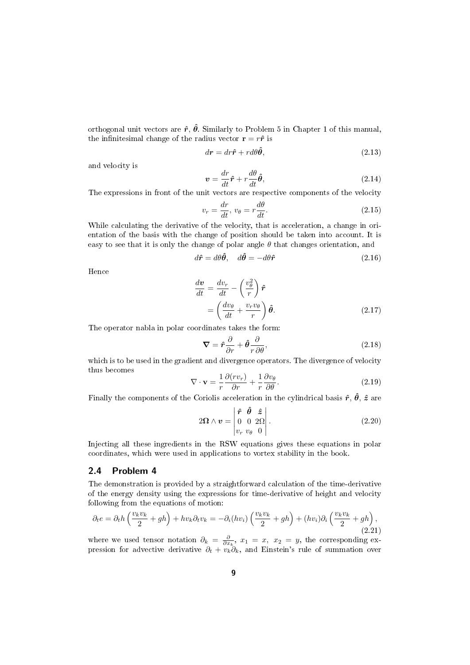orthogonal unit vectors are  $\hat{r}$ ,  $\hat{\theta}$ . Similarly to Problem 5 in Chapter 1 of this manual, the infinitesimal change of the radius vector  $\mathbf{r} = r\hat{\mathbf{r}}$  is

$$
dr = dr\hat{\mathbf{r}} + r d\theta \hat{\boldsymbol{\theta}},\tag{2.13}
$$

and velocity is

$$
\mathbf{v} = \frac{dr}{dt}\hat{\mathbf{r}} + r\frac{d\theta}{dt}\hat{\boldsymbol{\theta}},\tag{2.14}
$$

The expressions in front of the unit vectors are respective components of the velocity

$$
v_r = \frac{dr}{dt}, v_\theta = r\frac{d\theta}{dt}.
$$
\n(2.15)

While calculating the derivative of the velocity, that is acceleration, a change in orientation of the basis with the change of position should be taken into account. It is easy to see that it is only the change of polar angle  $\theta$  that changes orientation, and

$$
d\hat{\mathbf{r}} = d\theta \hat{\mathbf{\theta}}, \quad d\hat{\mathbf{\theta}} = -d\theta \hat{\mathbf{r}} \tag{2.16}
$$

Hence

$$
\frac{d\mathbf{v}}{dt} = \frac{dv_r}{dt} - \left(\frac{v_\theta^2}{r}\right)\hat{\mathbf{r}}
$$

$$
= \left(\frac{dv_\theta}{dt} + \frac{v_r v_\theta}{r}\right)\hat{\boldsymbol{\theta}}.\tag{2.17}
$$

The operator nabla in polar coordinates takes the form:

$$
\nabla = \hat{r}\frac{\partial}{\partial r} + \hat{\theta}\frac{\partial}{r\,\partial\theta},\tag{2.18}
$$

which is to be used in the gradient and divergence operators. The divergence of velocity thus becomes

$$
\nabla \cdot \mathbf{v} = \frac{1}{r} \frac{\partial (r v_r)}{\partial r} + \frac{1}{r} \frac{\partial v_\theta}{\partial \theta}.
$$
 (2.19)

Finally the components of the Coriolis acceleration in the cylindrical basis  $\hat{r}$ ,  $\hat{\theta}$ ,  $\hat{z}$  are

$$
2\Omega \wedge \mathbf{v} = \begin{vmatrix} \hat{\mathbf{r}} & \hat{\mathbf{\theta}} & \hat{\mathbf{z}} \\ 0 & 0 & 2\Omega \\ v_r & v_{\theta} & 0 \end{vmatrix} . \tag{2.20}
$$

Injecting all these ingredients in the RSW equations gives these equations in polar coordinates, which were used in applications to vortex stability in the book.

# 2.4 Problem 4

The demonstration is provided by a straightforward calculation of the time-derivative of the energy density using the expressions for time-derivative of height and velocity following from the equations of motion:

$$
\partial_t e = \partial_t h \left( \frac{v_k v_k}{2} + gh \right) + hv_k \partial_t v_k = -\partial_i (hv_i) \left( \frac{v_k v_k}{2} + gh \right) + (hv_i) \partial_i \left( \frac{v_k v_k}{2} + gh \right), \tag{2.21}
$$

where we used tensor notation  $\partial_k = \frac{\partial}{\partial x_k}$ ,  $x_1 = x$ ,  $x_2 = y$ , the corresponding expression for advective derivative  $\partial_t + v_k \partial_k$ , and Einstein's rule of summation over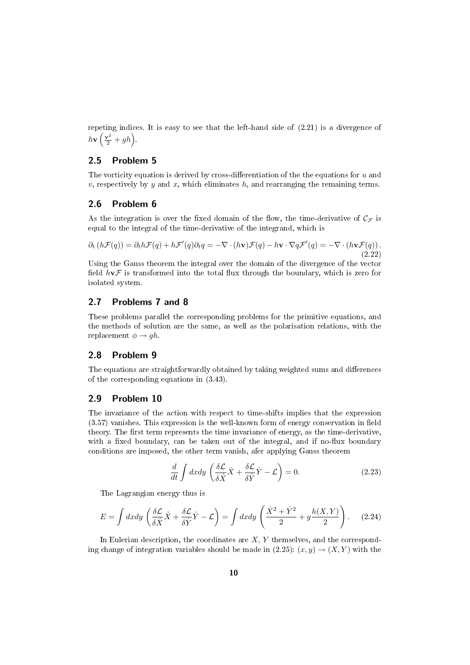repeting indices. It is easy to see that the left-hand side of (2.21) is a divergence of  $h\mathbf{v}\left(\frac{\mathbf{v}^2}{2} + gh\right).$ 

# 2.5 Problem 5

The vorticity equation is derived by cross-differentiation of the the equations for  $u$  and  $v$ , respectively by  $y$  and  $x$ , which eliminates  $h$ , and rearranging the remaining terms.

#### 2.6 Problem 6

As the integration is over the fixed domain of the flow, the time-derivative of  $\mathcal{C}_{\mathcal{F}}$  is equal to the integral of the time-derivative of the integrand, which is

$$
\partial_t (h\mathcal{F}(q)) = \partial_t h\mathcal{F}(q) + h\mathcal{F}'(q)\partial_t q = -\nabla \cdot (h\mathbf{v})\mathcal{F}(q) - h\mathbf{v} \cdot \nabla q\mathcal{F}'(q) = -\nabla \cdot (h\mathbf{v}\mathcal{F}(q)).
$$
\n(2.22)

Using the Gauss theorem the integral over the domain of the divergence of the vector field  $h\nu\mathcal{F}$  is transformed into the total flux through the boundary, which is zero for isolated system.

# 2.7 Problems 7 and 8

These problems parallel the corresponding problems for the primitive equations, and the methods of solution are the same, as well as the polarisation relations, with the replacement  $\phi \rightarrow gh$ .

# 2.8 Problem 9

The equations are straightforwardly obtained by taking weighted sums and differences of the corresponding equations in (3.43).

## 2.9 Problem 10

The invariance of the action with respect to time-shifts implies that the expression  $(3.57)$  vanishes. This expression is the well-known form of energy conservation in field theory. The first term represents the time invariance of energy, as the time-derivative, with a fixed boundary, can be taken out of the integral, and if no-flux boundary conditions are imposed, the other term vanish, afer applying Gauss theorem

$$
\frac{d}{dt} \int dx dy \left( \frac{\delta \mathcal{L}}{\delta \dot{X}} \dot{X} + \frac{\delta \mathcal{L}}{\delta \dot{Y}} \dot{Y} - \mathcal{L} \right) = 0.
$$
\n(2.23)

The Lagrangian energy thus is

$$
E = \int dx dy \left( \frac{\delta \mathcal{L}}{\delta \dot{X}} \dot{X} + \frac{\delta \mathcal{L}}{\delta \dot{Y}} \dot{Y} - \mathcal{L} \right) = \int dx dy \left( \frac{\dot{X}^2 + \dot{Y}^2}{2} + g \frac{h(X, Y)}{2} \right). \tag{2.24}
$$

In Eulerian description, the coordinates are  $X, Y$  themselves, and the corresponding change of integration variables should be made in  $(2.25)$ :  $(x, y) \rightarrow (X, Y)$  with the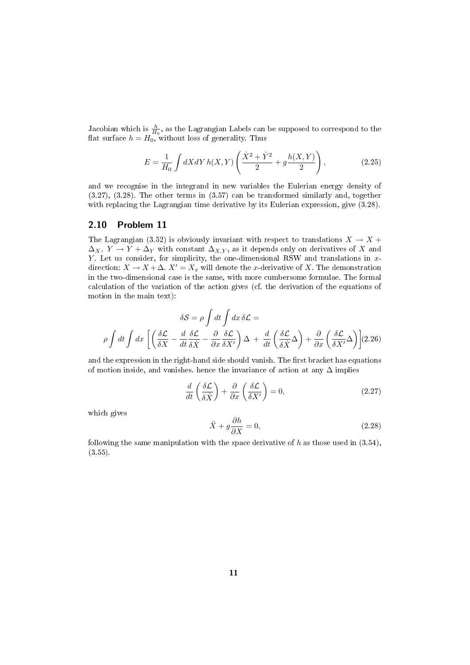Jacobian which is  $\frac{h}{H_0}$ , as the Lagrangian Labels can be supposed to correspond to the flat surface  $h = H_0$ , without loss of generality. Thus

$$
E = \frac{1}{H_0} \int dX dY h(X, Y) \left( \frac{\dot{X}^2 + \dot{Y}^2}{2} + g \frac{h(X, Y)}{2} \right),
$$
 (2.25)

and we recognise in the integrand in new variables the Eulerian energy density of (3.27), (3.28). The other terms in (3.57) can be transformed similarly and, together with replacing the Lagrangian time derivative by its Eulerian expression, give  $(3.28)$ .

#### 2.10 Problem 11

The Lagrangian (3.52) is obviously invariant with respect to translations  $X \to X +$  $\Delta_X$ ,  $\overline{Y} \rightarrow \overline{Y} + \Delta_Y$  with constant  $\Delta_{X,Y}$ , as it depends only on derivatives of X and Y. Let us consider, for simplicity, the one-dimensional RSW and translations in  $x$ direction:  $X \to X + \Delta$ .  $X' = X_x$  will denote the x-derivative of X. The demonstration in the two-dimensional case is the same, with more cumbersome formulae. The formal calculation of the variation of the action gives (cf. the derivation of the equations of motion in the main text):

$$
\delta S = \rho \int dt \int dx \, \delta L =
$$

$$
\rho \int dt \int dx \left[ \left( \frac{\delta L}{\delta X} - \frac{d}{dt} \frac{\delta L}{\delta X} - \frac{\partial}{\partial x} \frac{\delta L}{\delta X'} \right) \Delta + \frac{d}{dt} \left( \frac{\delta L}{\delta X} \Delta \right) + \frac{\partial}{\partial x} \left( \frac{\delta L}{\delta X'} \Delta \right) \right] (2.26)
$$

and the expression in the right-hand side should vanish. The first bracket has equations of motion inside, and vanishes. hence the invariance of action at any  $\Delta$  implies

$$
\frac{d}{dt}\left(\frac{\delta \mathcal{L}}{\delta \dot{X}}\right) + \frac{\partial}{\partial x}\left(\frac{\delta \mathcal{L}}{\delta X'}\right) = 0,\tag{2.27}
$$

which gives

$$
\ddot{X} + g \frac{\partial h}{\partial X} = 0,\t\t(2.28)
$$

following the same manipulation with the space derivative of h as those used in  $(3.54)$ , (3.55).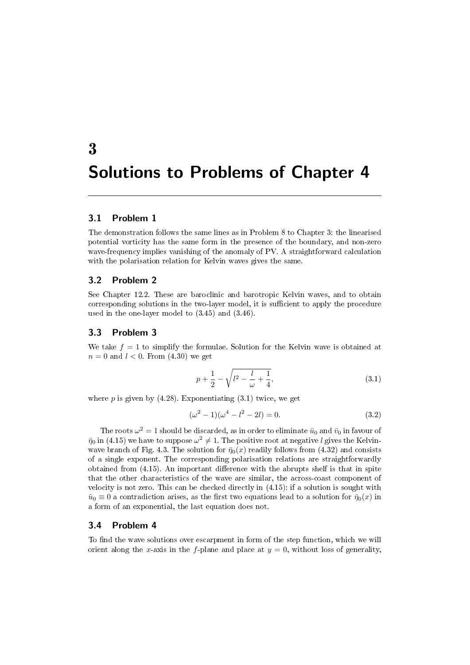# 3 Solutions to Problems of Chapter 4

# 3.1 Problem 1

The demonstration follows the same lines as in Problem 8 to Chapter 3: the linearised potential vorticity has the same form in the presence of the boundary, and non-zero wave-frequency implies vanishing of the anomaly of PV. A straightforward calculation with the polarisation relation for Kelvin waves gives the same.

### 3.2 Problem 2

See Chapter 12.2. These are baroclinic and barotropic Kelvin waves, and to obtain corresponding solutions in the two-layer model, it is sufficient to apply the procedure used in the one-layer model to (3.45) and (3.46).

# 3.3 Problem 3

We take  $f = 1$  to simplify the formulae. Solution for the Kelvin wave is obtained at  $n = 0$  and  $l < 0$ . From  $(4.30)$  we get

$$
p + \frac{1}{2} - \sqrt{l^2 - \frac{l}{\omega} + \frac{1}{4}},\tag{3.1}
$$

where  $p$  is given by  $(4.28)$ . Exponentiating  $(3.1)$  twice, we get

$$
(\omega^2 - 1)(\omega^4 - l^2 - 2l) = 0.
$$
\n(3.2)

The roots  $\omega^2 = 1$  should be discarded, as in order to eliminate  $\bar{u}_0$  and  $\bar{v}_0$  in favour of  $\bar{\eta}_0$  in (4.15) we have to suppose  $\omega^2\neq 1.$  The positive root at negative  $l$  gives the Kelvinwave branch of Fig. 4.3. The solution for  $\bar{\eta}_0(x)$  readily follows from (4.32) and consists of a single exponent. The corresponding polarisation relations are straightforwardly obtained from  $(4.15)$ . An important difference with the abrupts shelf is that in spite that the other characteristics of the wave are similar, the across-coast component of velocity is not zero. This can be checked directly in (4.15): if a solution is sought with  $\bar{u}_0 \equiv 0$  a contradiction arises, as the first two equations lead to a solution for  $\bar{\eta}_0(x)$  in a form of an exponential, the last equation does not.

#### 3.4 Problem 4

To find the wave solutions over escarpment in form of the step function, which we will orient along the x-axis in the f-plane and place at  $y = 0$ , without loss of generality,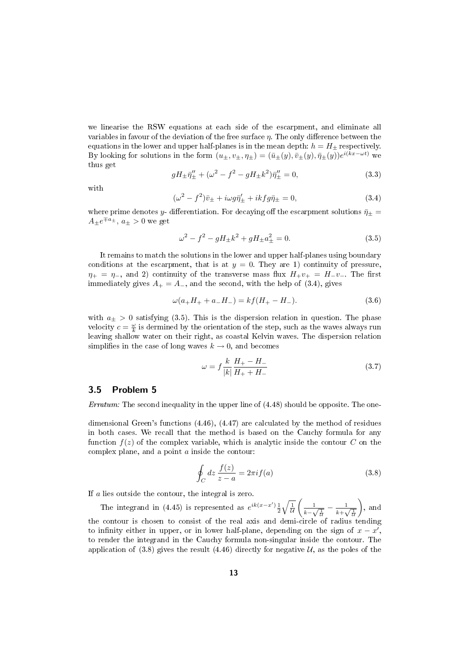we linearise the RSW equations at each side of the escarpment, and eliminate all variables in favour of the deviation of the free surface  $\eta$ . The only difference between the equations in the lower and upper half-planes is in the mean depth:  $h = H_{\pm}$  respectively. By looking for solutions in the form  $(u_\pm, v_\pm, \eta_\pm) = (\bar{u}_\pm(y), \bar{v}_\pm(y), \bar{\eta}_\pm(y))e^{i(kx - \omega t)}$  we thus get

$$
gH_{\pm}\bar{\eta}^{\prime\prime}_{\pm} + (\omega^2 - f^2 - gH_{\pm}k^2)\bar{\eta}^{\prime\prime}_{\pm} = 0, \tag{3.3}
$$

with

$$
(\omega^2 - f^2)\bar{v}_{\pm} + i\omega g \bar{\eta}'_{\pm} + i k f g \bar{\eta}_{\pm} = 0, \qquad (3.4)
$$

where prime denotes y- differentiation. For decaying off the escarpment solutions  $\bar{\eta}_{\pm}$  =  $A_{\pm}e^{\mp a_{\pm}}, a_{\pm} > 0$  we get

$$
\omega^2 - f^2 - gH_{\pm}k^2 + gH_{\pm}a_{\pm}^2 = 0.
$$
\n(3.5)

It remains to match the solutions in the lower and upper half-planes using boundary conditions at the escarpment, that is at  $y = 0$ . They are 1) continuity of pressure,  $\eta_{+} = \eta_{-}$ , and 2) continuity of the transverse mass flux  $H_{+}v_{+} = H_{-}v_{-}$ . The first immediately gives  $A_+ = A_-$ , and the second, with the help of (3.4), gives

$$
\omega(a_+H_+ + a_-H_-) = kf(H_+ - H_-). \tag{3.6}
$$

with  $a_{\pm} > 0$  satisfying (3.5). This is the dispersion relation in question. The phase velocity  $c = \frac{\omega}{k}$  is dermined by the orientation of the step, such as the waves always run leaving shallow water on their right, as coastal Kelvin waves. The dispersion relation simplifies in the case of long waves  $k \to 0$ , and becomes

$$
\omega = f \frac{k}{|k|} \frac{H_{+} - H_{-}}{H_{+} + H_{-}} \tag{3.7}
$$

#### 3.5 Problem 5

Erratum: The second inequality in the upper line of  $(4.48)$  should be opposite. The one-

dimensional Green's functions (4.46), (4.47) are calculated by the method of residues in both cases. We recall that the method is based on the Cauchy formula for any function  $f(z)$  of the complex variable, which is analytic inside the contour C on the complex plane, and a point a inside the contour:

$$
\oint_C dz \frac{f(z)}{z - a} = 2\pi i f(a)
$$
\n(3.8)

If a lies outside the contour, the integral is zero.

The integrand in (4.45) is represented as  $e^{ik(x-x')}\frac{1}{2}\sqrt{\frac{1}{\mathcal{U}}}$  $\begin{pmatrix} 1 \end{pmatrix}$  $\frac{1}{k-\sqrt{\frac{1}{\mathcal{U}}}}-\frac{1}{k+\sqrt{\frac{1}{\mathcal{U}}}}$  $\frac{1}{k+\sqrt{\frac{1}{\overline{\mathcal{U}}}}}$  $\Big)$ , and the contour is chosen to consist of the real axis and demi-circle of radius tending to infinity either in upper, or in lower half-plane, depending on the sign of  $x - x'$ , to render the integrand in the Cauchy formula non-singular inside the contour. The application of  $(3.8)$  gives the result  $(4.46)$  directly for negative U, as the poles of the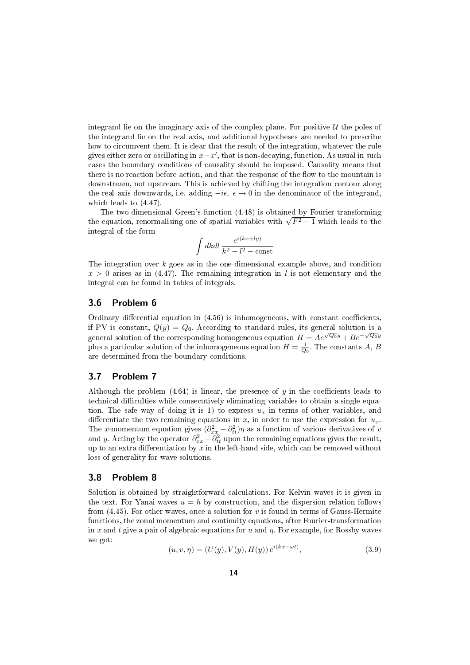integrand lie on the imaginary axis of the complex plane. For positive  $U$  the poles of the integrand lie on the real axis, and additional hypotheses are needed to prescribe how to circumvent them. It is clear that the result of the integration, whatever the rule gives either zero or oscillating in  $x-x'$ , that is non-decaying, function. As usual in such cases the boundary conditions of causality should be imposed. Causality means that there is no reaction before action, and that the response of the flow to the mountain is downstream, not upstream. This is achieved by chifting the integration contour along the real axis downwards, i.e. adding  $-i\epsilon$ ,  $\epsilon \to 0$  in the denominator of the integrand, which leads to (4.47).

The two-dimensional Green's function (4.48) is obtained by Fourier-transforming The two-dimensional Green's function (4.48) is obtained by Fourier-transforming<br>the equation, renormalising one of spatial variables with  $\sqrt{F^2-1}$  which leads to the integral of the form

$$
\int dk dl \frac{e^{i(kx+ly)}}{k^2 - l^2 - \text{const}}
$$

The integration over  $k$  goes as in the one-dimensional example above, and condition  $x > 0$  arises as in (4.47). The remaining integration in l is not elementary and the integral can be found in tables of integrals.

#### 3.6 Problem 6

Ordinary differential equation in  $(4.56)$  is inhomogeneous, with constant coefficients, if PV is constant,  $Q(y) = Q_0$ . According to standard rules, its general solution is a general solution of the corresponding homogeneous equation  $H = Ae^{\sqrt{Q_0}y} + Be^{-\sqrt{Q_0}y}$ plus a particular solution of the inhomogeneous equation  $H = \frac{1}{Q_0}$ . The constants A, B are determined from the boundary conditions.

# 3.7 Problem 7

Although the problem  $(4.64)$  is linear, the presence of y in the coefficients leads to technical difficulties while consecutively eliminating variables to obtain a single equation. The safe way of doing it is 1) to express  $u_x$  in terms of other variables, and differentiate the two remaining equations in x, in order to use the expression for  $u_x$ . The x-momentum equation gives  $(\partial_{xx}^2 - \partial_{tt}^2)\eta$  as a function of various derivatives of v and y. Acting by the operator  $\partial_{xx}^2 - \partial_{tt}^2$  upon the remaining equations gives the result, up to an extra differentiation by  $x$  in the left-hand side, which can be removed without loss of generality for wave solutions.

#### 3.8 Problem 8

Solution is obtained by straightforward calculations. For Kelvin waves it is given in the text. For Yanai waves  $u = h$  by construction, and the dispersion relation follows from  $(4.45)$ . For other waves, once a solution for v is found in terms of Gauss-Hermite functions, the zonal momentum and continuity equations, after Fourier-transformation in x and t give a pair of algebraic equations for u and  $\eta$ . For example, for Rossby waves we get:

$$
(u, v, \eta) = (U(y), V(y), H(y)) e^{i(kx - \omega t)}, \tag{3.9}
$$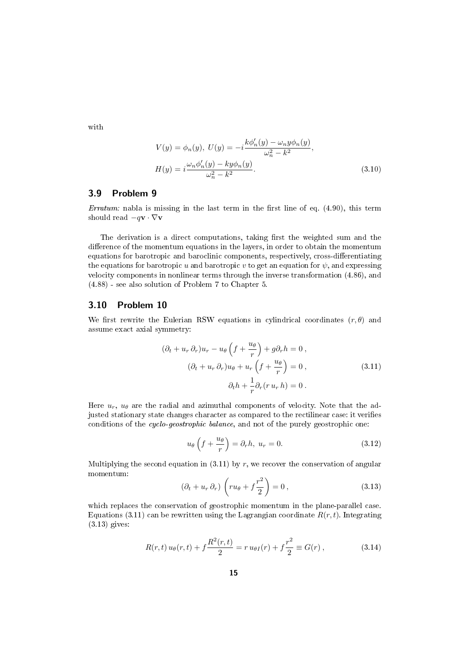with

$$
V(y) = \phi_n(y), \ U(y) = -i \frac{k \phi'_n(y) - \omega_n y \phi_n(y)}{\omega_n^2 - k^2}, H(y) = i \frac{\omega_n \phi'_n(y) - k y \phi_n(y)}{\omega_n^2 - k^2}.
$$
 (3.10)

#### 3.9 Problem 9

Erratum: nabla is missing in the last term in the first line of eq.  $(4.90)$ , this term should read  $-q\mathbf{v} \cdot \nabla \mathbf{v}$ 

The derivation is a direct computations, taking first the weighted sum and the difference of the momentum equations in the layers, in order to obtain the momentum equations for barotropic and baroclinic components, respectively, cross-differentiating the equations for barotropic u and barotropic v to get an equation for  $\psi$ , and expressing velocity components in nonlinear terms through the inverse transformation (4.86), and (4.88) - see also solution of Problem 7 to Chapter 5.

### 3.10 Problem 10

We first rewrite the Eulerian RSW equations in cylindrical coordinates  $(r, \theta)$  and assume exact axial symmetry:

$$
(\partial_t + u_r \partial_r)u_r - u_\theta \left(f + \frac{u_\theta}{r}\right) + g\partial_r h = 0,
$$
  

$$
(\partial_t + u_r \partial_r)u_\theta + u_r \left(f + \frac{u_\theta}{r}\right) = 0,
$$
  

$$
\partial_t h + \frac{1}{r}\partial_r (r u_r h) = 0.
$$
 (3.11)

Here  $u_r$ ,  $u_\theta$  are the radial and azimuthal components of velocity. Note that the adjusted stationary state changes character as compared to the rectilinear case: it verifies conditions of the cyclo-geostrophic balance, and not of the purely geostrophic one:

$$
u_{\theta}\left(f + \frac{u_{\theta}}{r}\right) = \partial_r h, \ u_r = 0. \tag{3.12}
$$

Multiplying the second equation in  $(3.11)$  by r, we recover the conservation of angular momentum:

$$
(\partial_t + u_r \partial_r) \left( ru_\theta + f\frac{r^2}{2} \right) = 0, \qquad (3.13)
$$

which replaces the conservation of geostrophic momentum in the plane-parallel case. Equations (3.11) can be rewritten using the Lagrangian coordinate  $R(r, t)$ . Integrating (3.13) gives:

$$
R(r,t) u_{\theta}(r,t) + f \frac{R^2(r,t)}{2} = r u_{\theta I}(r) + f \frac{r^2}{2} \equiv G(r) , \qquad (3.14)
$$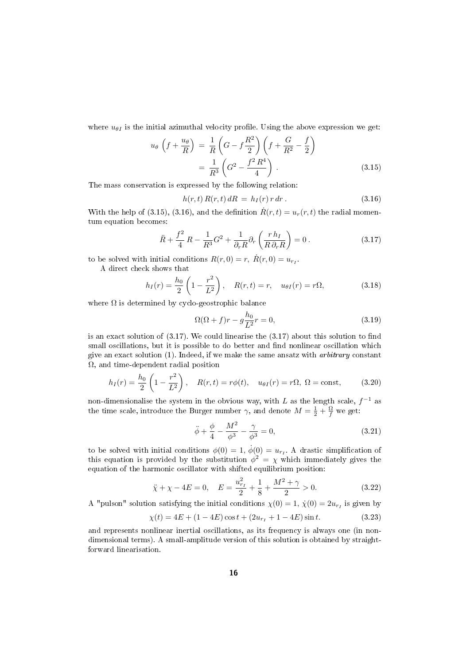where  $u_{\theta I}$  is the initial azimuthal velocity profile. Using the above expression we get:

$$
u_{\theta} \left( f + \frac{u_{\theta}}{R} \right) = \frac{1}{R} \left( G - f \frac{R^2}{2} \right) \left( f + \frac{G}{R^2} - \frac{f}{2} \right)
$$
  
= 
$$
\frac{1}{R^3} \left( G^2 - \frac{f^2 R^4}{4} \right) .
$$
 (3.15)

The mass conservation is expressed by the following relation:

$$
h(r,t) R(r,t) dR = h_I(r) r dr. \qquad (3.16)
$$

With the help of (3.15), (3.16), and the definition  $\dot{R}(r,t) = u_r(r,t)$  the radial momentum equation becomes:

$$
\ddot{R} + \frac{f^2}{4} R - \frac{1}{R^3} G^2 + \frac{1}{\partial_r R} \partial_r \left( \frac{r h_I}{R \partial_r R} \right) = 0 \,. \tag{3.17}
$$

to be solved with initial conditions  $R(r, 0) = r$ ,  $\dot{R}(r, 0) = u_{r_I}$ .

A direct check shows that

$$
h_I(r) = \frac{h_0}{2} \left( 1 - \frac{r^2}{L^2} \right), \quad R(r, t) = r, \quad u_{\theta I}(r) = r\Omega,
$$
 (3.18)

where  $\Omega$  is determined by cyclo-geostrophic balance

$$
\Omega(\Omega + f)r - g\frac{h_0}{L^2}r = 0,\tag{3.19}
$$

is an exact solution of  $(3.17)$ . We could linearise the  $(3.17)$  about this solution to find small oscillations, but it is possible to do better and find nonlinear oscillation which give an exact solution  $(1)$ . Indeed, if we make the same ansatz with *arbitrary* constant  $\Omega$ , and time-dependent radial position

$$
h_I(r) = \frac{h_0}{2} \left( 1 - \frac{r^2}{L^2} \right), \quad R(r, t) = r\phi(t), \quad u_{\theta I}(r) = r\Omega, \ \Omega = \text{const}, \tag{3.20}
$$

non-dimensionalise the system in the obvious way, with L as the length scale,  $f^{-1}$  as the time scale, introduce the Burger number  $\gamma$ , and denote  $M = \frac{1}{2} + \frac{\Omega}{f}$  we get:

$$
\ddot{\phi} + \frac{\phi}{4} - \frac{M^2}{\phi^3} - \frac{\gamma}{\phi^3} = 0,
$$
\n(3.21)

to be solved with initial conditions  $\phi(0) = 1, \dot{\phi}(0) = u_{r_I}$ . A drastic simplification of this equation is provided by the substitution  $\phi^2 = \chi$  which immediately gives the equation of the harmonic oscillator with shifted equilibrium position:

$$
\ddot{\chi} + \chi - 4E = 0, \quad E = \frac{u_{r_I}^2}{2} + \frac{1}{8} + \frac{M^2 + \gamma}{2} > 0.
$$
 (3.22)

A "pulson" solution satisfying the initial conditions  $\chi(0) = 1$ ,  $\dot{\chi}(0) = 2u_{rI}$  is given by

$$
\chi(t) = 4E + (1 - 4E)\cos t + (2u_{r_I} + 1 - 4E)\sin t.
$$
 (3.23)

and represents nonlinear inertial oscillations, as its frequency is always one (in nondimensional terms). A small-amplitude version of this solution is obtained by straightforward linearisation.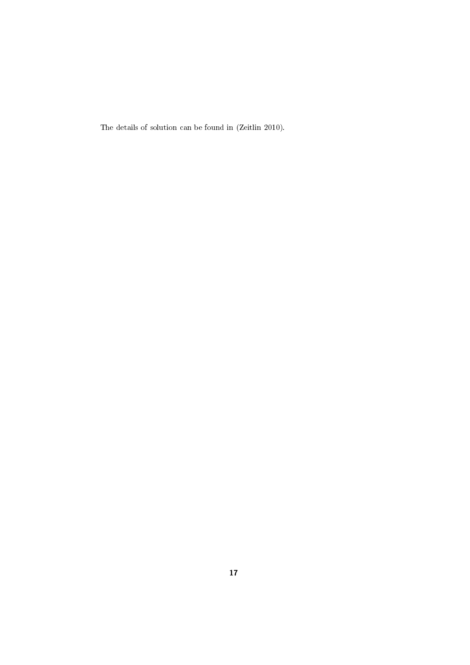The details of solution can be found in (Zeitlin 2010).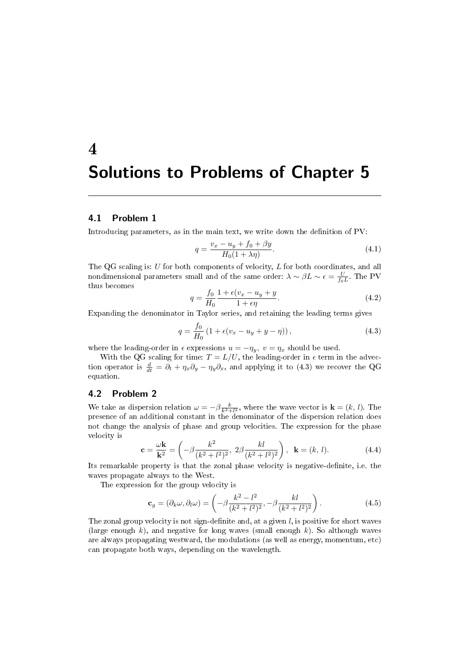# 4 Solutions to Problems of Chapter 5

# 4.1 Problem 1

Introducing parameters, as in the main text, we write down the denition of PV:

$$
q = \frac{v_x - u_y + f_0 + \beta y}{H_0(1 + \lambda \eta)}.
$$
\n(4.1)

The QG scaling is: U for both components of velocity, L for both coordinates, and all nondimensional parameters small and of the same order:  $\lambda \sim \beta L \sim \epsilon = \frac{U}{f_0 L}$ . The PV thus becomes

$$
q = \frac{f_0}{H_0} \frac{1 + \epsilon (v_x - u_y + y}{1 + \epsilon \eta}.
$$
\n
$$
(4.2)
$$

Expanding the denominator in Taylor series, and retaining the leading terms gives

$$
q = \frac{f_0}{H_0} \left( 1 + \epsilon (v_x - u_y + y - \eta) \right), \tag{4.3}
$$

where the leading-order in  $\epsilon$  expressions  $u = -\eta_y$ ,  $v = \eta_x$  should be used.

With the QG scaling for time:  $T = L/U$ , the leading-order in  $\epsilon$  term in the advection operator is  $\frac{d}{dt} = \partial_t + \eta_x \partial_y - \eta_y \partial_x$ , and applying it to (4.3) we recover the QG equation.

# 4.2 Problem 2

We take as dispersion relation  $\omega = -\beta \frac{k}{k^2 + l^2}$ , where the wave vector is  $\mathbf{k} = (k, l)$ . The presence of an additional constant in the denominator of the dispersion relation does not change the analysis of phase and group velocities. The expression for the phase velocity is

$$
\mathbf{c} = \frac{\omega \mathbf{k}}{\mathbf{k}^2} = \left( -\beta \frac{k^2}{(k^2 + l^2)^2}, \ 2\beta \frac{k l}{(k^2 + l^2)^2} \right), \ \mathbf{k} = (k, l). \tag{4.4}
$$

Its remarkable property is that the zonal phase velocity is negative-denite, i.e. the waves propagate always to the West.

The expression for the group velocity is

$$
\mathbf{c}_g = (\partial_k \omega, \partial_l \omega) = \left( -\beta \frac{k^2 - l^2}{(k^2 + l^2)^2}, -\beta \frac{kl}{(k^2 + l^2)^2} \right). \tag{4.5}
$$

The zonal group velocity is not sign-definite and, at a given  $l$ , is positive for short waves (large enough  $k$ ), and negative for long waves (small enough  $k$ ). So although waves are always propagating westward, the modulations (as well as energy, momentum, etc) can propagate both ways, depending on the wavelength.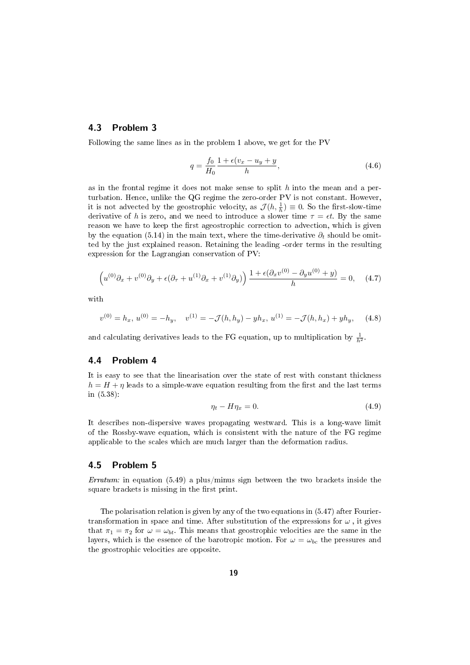# 4.3 Problem 3

Following the same lines as in the problem 1 above, we get for the PV

$$
q = \frac{f_0}{H_0} \frac{1 + \epsilon (v_x - u_y + y}{h},\tag{4.6}
$$

as in the frontal regime it does not make sense to split  $h$  into the mean and a perturbation. Hence, unlike the QG regime the zero-order PV is not constant. However, it is not advected by the geostrophic velocity, as  $\mathcal{J}(h, \frac{1}{h}) \equiv 0$ . So the first-slow-time derivative of h is zero, and we need to introduce a slower time  $\tau = \epsilon t$ . By the same reason we have to keep the first ageostrophic correction to advection, which is given by the equation (5.14) in the main text, where the time-derivative  $\partial_t$  should be omitted by the just explained reason. Retaining the leading -order terms in the resulting expression for the Lagrangian conservation of PV:

$$
\left(u^{(0)}\partial_x + v^{(0)}\partial_y + \epsilon(\partial_\tau + u^{(1)}\partial_x + v^{(1)}\partial_y)\right) \frac{1 + \epsilon(\partial_x v^{(0)} - \partial_y u^{(0)} + y)}{h} = 0, \quad (4.7)
$$

with

$$
v^{(0)} = h_x, u^{(0)} = -h_y, \quad v^{(1)} = -\mathcal{J}(h, h_y) - yh_x, u^{(1)} = -\mathcal{J}(h, h_x) + yh_y, \quad (4.8)
$$

and calculating derivatives leads to the FG equation, up to multiplication by  $\frac{1}{h^2}$ .

# 4.4 Problem 4

It is easy to see that the linearisation over the state of rest with constant thickness  $h = H + \eta$  leads to a simple-wave equation resulting from the first and the last terms in (5.38):

$$
\eta_t - H\eta_x = 0. \tag{4.9}
$$

It describes non-dispersive waves propagating westward. This is a long-wave limit of the Rossby-wave equation, which is consistent with the nature of the FG regime applicable to the scales which are much larger than the deformation radius.

### 4.5 Problem 5

Erratum: in equation (5.49) a plus/minus sign between the two brackets inside the square brackets is missing in the first print.

The polarisation relation is given by any of the two equations in (5.47) after Fouriertransformation in space and time. After substitution of the expressions for  $\omega$ , it gives that  $\pi_1 = \pi_2$  for  $\omega = \omega_{bt}$ . This means that geostrophic velocities are the same in the layers, which is the essence of the barotropic motion. For  $\omega = \omega_{bc}$  the pressures and the geostrophic velocities are opposite.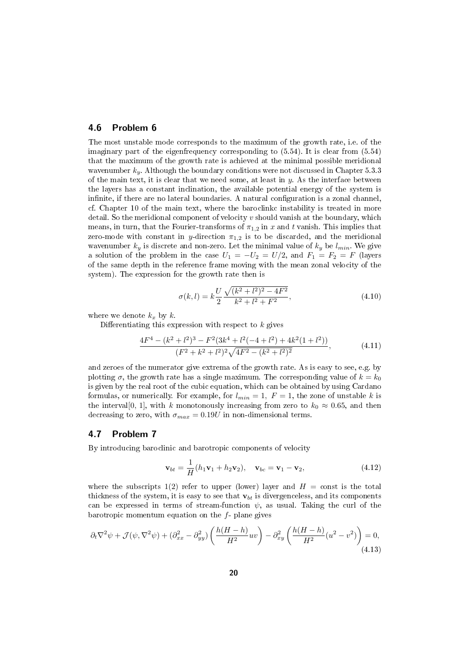#### 4.6 Problem 6

The most unstable mode corresponds to the maximum of the growth rate, i.e. of the imaginary part of the eigenfrequency corresponding to (5.54). It is clear from (5.54) that the maximum of the growth rate is achieved at the minimal possible meridional wavenumber  $k_y$ . Although the boundary conditions were not discussed in Chapter 5.3.3 of the main text, it is clear that we need some, at least in  $y$ . As the interface between the layers has a constant inclination, the available potential energy of the system is infinite, if there are no lateral boundaries. A natural configuration is a zonal channel, cf. Chapter 10 of the main text, where the baroclinkc instability is treated in more detail. So the meridional component of velocity  $v$  should vanish at the boundary, which means, in turn, that the Fourier-transforms of  $\pi_{1,2}$  in x and t vanish. This implies that zero-mode with constant in y-direction  $\pi_{1,2}$  is to be discarded, and the meridional wavenumber  $k_y$  is discrete and non-zero. Let the minimal value of  $k_y$  be  $l_{min}$ . We give a solution of the problem in the case  $U_1 = -U_2 = U/2$ , and  $F_1 = F_2 = F$  (layers of the same depth in the reference frame moving with the mean zonal velocity of the system). The expression for the growth rate then is

$$
\sigma(k,l) = k \frac{U}{2} \frac{\sqrt{(k^2 + l^2)^2 - 4F^2}}{k^2 + l^2 + F^2},
$$
\n(4.10)

where we denote  $k_x$  by k.

Differentiating this expression with respect to  $k$  gives

$$
\frac{4F^4 - (k^2 + l^2)^3 - F^2(3k^4 + l^2(-4 + l^2) + 4k^2(1 + l^2))}{(F^2 + k^2 + l^2)^2\sqrt{4F^2 - (k^2 + l^2)^2}},
$$
\n(4.11)

and zeroes of the numerator give extrema of the growth rate. As is easy to see, e.g. by plotting  $\sigma$ , the growth rate has a single maximum. The corresponding value of  $k = k_0$ is given by the real root of the cubic equation, which can be obtained by using Cardano formulas, or numerically. For example, for  $l_{min} = 1$ ,  $F = 1$ , the zone of unstable k is the interval[0, 1], with k monotonously increasing from zero to  $k_0 \approx 0.65$ , and then decreasing to zero, with  $\sigma_{max} = 0.19U$  in non-dimensional terms.

# 4.7 Problem 7

By introducing baroclinic and barotropic components of velocity

$$
\mathbf{v}_{bt} = \frac{1}{H}(h_1\mathbf{v}_1 + h_2\mathbf{v}_2), \quad \mathbf{v}_{bc} = \mathbf{v}_1 - \mathbf{v}_2,
$$
 (4.12)

where the subscripts 1(2) refer to upper (lower) layer and  $H = \text{const}$  is the total thickness of the system, it is easy to see that  $\mathbf{v}_{bt}$  is divergenceless, and its components can be expressed in terms of stream-function  $\psi$ , as usual. Taking the curl of the barotropic momentum equation on the  $f$ - plane gives

$$
\partial_t \nabla^2 \psi + \mathcal{J}(\psi, \nabla^2 \psi) + (\partial_{xx}^2 - \partial_{yy}^2) \left( \frac{h(H-h)}{H^2} uv \right) - \partial_{xy}^2 \left( \frac{h(H-h)}{H^2} (u^2 - v^2) \right) = 0,
$$
\n(4.13)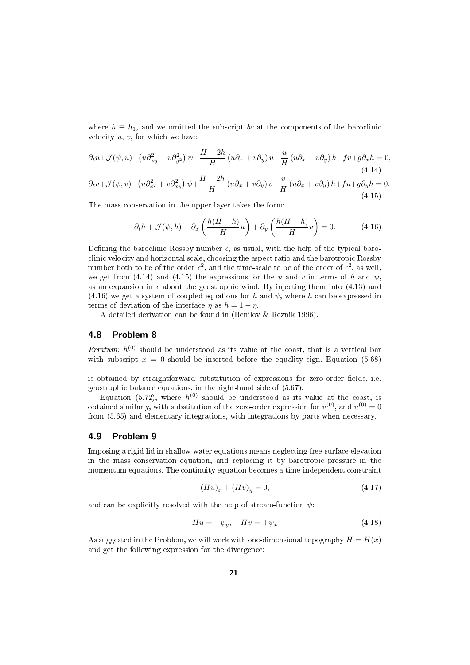where  $h \equiv h_1$ , and we omitted the subscript bc at the components of the baroclinic velocity  $u, v$ , for which we have:

$$
\partial_t u + \mathcal{J}(\psi, u) - \left(u\partial_{xy}^2 + v\partial_{y^2}^2\right)\psi + \frac{H - 2h}{H}\left(u\partial_x + v\partial_y\right)u - \frac{u}{H}\left(u\partial_x + v\partial_y\right)h - fv + g\partial_x h = 0,
$$
\n(4.14)

$$
\partial_t v + \mathcal{J}(\psi, v) - \left(u\partial_{x^2}^2 + v\partial_{xy}^2\right)\psi + \frac{H - 2h}{H}\left(u\partial_x + v\partial_y\right)v - \frac{v}{H}\left(u\partial_x + v\partial_y\right)h + fu + g\partial_y h = 0.
$$
\n(4.15)

The mass conservation in the upper layer takes the form:

$$
\partial_t h + \mathcal{J}(\psi, h) + \partial_x \left( \frac{h(H - h)}{H} u \right) + \partial_y \left( \frac{h(H - h)}{H} v \right) = 0. \tag{4.16}
$$

Defining the baroclinic Rossby number  $\epsilon$ , as usual, with the help of the typical baroclinic velocity and horizontal scale, choosing the aspect ratio and the barotropic Rossby number both to be of the order  $\epsilon^2$ , and the time-scale to be of the order of  $\epsilon^2$ , as well, we get from (4.14) and (4.15) the expressions for the u and v in terms of h and  $\psi$ , as an expansion in  $\epsilon$  about the geostrophic wind. By injecting them into (4.13) and (4.16) we get a system of coupled equations for h and  $\psi$ , where h can be expressed in terms of deviation of the interface  $\eta$  as  $h = 1 - \eta$ .

A detailed derivation can be found in (Benilov & Reznik 1996).

#### 4.8 Problem 8

*Erratum:*  $h^{(0)}$  should be understood as its value at the coast, that is a vertical bar with subscript  $x = 0$  should be inserted before the equality sign. Equation (5.68)

is obtained by straightforward substitution of expressions for zero-order fields, i.e. geostrophic balance equations, in the right-hand side of (5.67).

Equation (5.72), where  $h^{(0)}$  should be understood as its value at the coast, is obtained similarly, with substitution of the zero-order expression for  $v^{(0)}$ , and  $u^{(0)} = 0$ from (5.65) and elementary integrations, with integrations by parts when necessary.

#### 4.9 Problem 9

Imposing a rigid lid in shallow water equations means neglecting free-surface elevation in the mass conservation equation, and replacing it by barotropic pressure in the momentum equations. The continuity equation becomes a time-independent constraint

$$
(Hu)_x + (Hv)_y = 0,\t\t(4.17)
$$

and can be explicitly resolved with the help of stream-function  $\psi$ :

$$
Hu = -\psi_y, \quad Hv = +\psi_x \tag{4.18}
$$

As suggested in the Problem, we will work with one-dimensional topography  $H = H(x)$ and get the following expression for the divergence: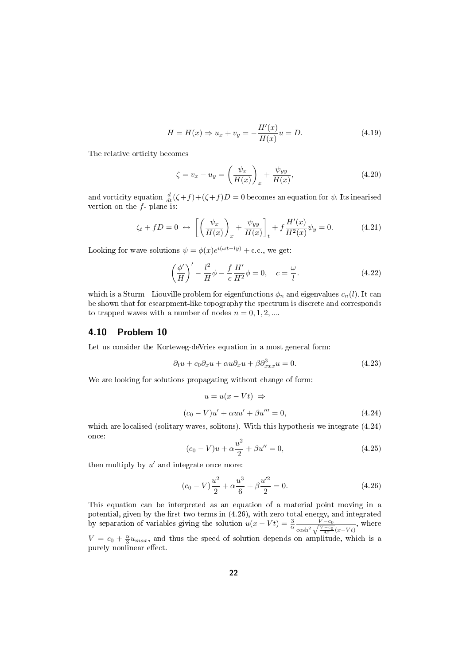$$
H = H(x) \Rightarrow u_x + v_y = -\frac{H'(x)}{H(x)}u = D.
$$
 (4.19)

The relative orticity becomes

$$
\zeta = v_x - u_y = \left(\frac{\psi_x}{H(x)}\right)_x + \frac{\psi_{yy}}{H(x)},\tag{4.20}
$$

and vorticity equation  $\frac{d}{dt}(\zeta + f) + (\zeta + f)D = 0$  becomes an equation for  $\psi$ . Its inearised vertion on the  $f$ - plane is:

$$
\zeta_t + fD = 0 \leftrightarrow \left[ \left( \frac{\psi_x}{H(x)} \right)_x + \frac{\psi_{yy}}{H(x)} \right]_t + f \frac{H'(x)}{H^2(x)} \psi_y = 0. \tag{4.21}
$$

Looking for wave solutions  $\psi = \phi(x)e^{i(\omega t - ly)} + c.c.,$  we get:

$$
\left(\frac{\phi'}{H}\right)' - \frac{l^2}{H}\phi - \frac{f}{c}\frac{H'}{H^2}\phi = 0, \quad c = \frac{\omega}{l}.
$$
\n(4.22)

which is a Sturm - Liouville problem for eigenfunctions  $\phi_n$  and eigenvalues  $c_n(l)$ . It can be shown that for escarpment-like topography the spectrum is discrete and corresponds to trapped waves with a number of nodes  $n = 0, 1, 2, ...$ 

# 4.10 Problem 10

Let us consider the Korteweg-deVries equation in a most general form:

$$
\partial_t u + c_0 \partial_x u + \alpha u \partial_x u + \beta \partial_{xxx}^3 u = 0. \tag{4.23}
$$

We are looking for solutions propagating without change of form:

$$
u = u(x - Vt) \Rightarrow
$$
  
(c<sub>0</sub> - V)u' + \alpha uu' + \beta u''' = 0, \t(4.24)

which are localised (solitary waves, solitons). With this hypothesis we integrate (4.24) once:

$$
(c_0 - V)u + \alpha \frac{u^2}{2} + \beta u'' = 0,
$$
\n(4.25)

then multiply by  $u'$  and integrate once more:

$$
(c_0 - V)\frac{u^2}{2} + \alpha \frac{u^3}{6} + \beta \frac{u'^2}{2} = 0.
$$
 (4.26)

This equation can be interpreted as an equation of a material point moving in a potential, given by the first two terms in  $(4.26)$ , with zero total energy, and integrated by separation of variables giving the solution  $u(x - Vt) = \frac{3}{\alpha} \frac{V - c_0}{\alpha \cosh^2 \sqrt{V - c_0}}$  $\frac{V-c_0}{\cosh^2\sqrt{\frac{V-c_0}{4\beta}}(x-Vt)}$ , where  $V = c_0 + \frac{\alpha}{3}u_{max}$ , and thus the speed of solution depends on amplitude, which is a

purely nonlinear effect.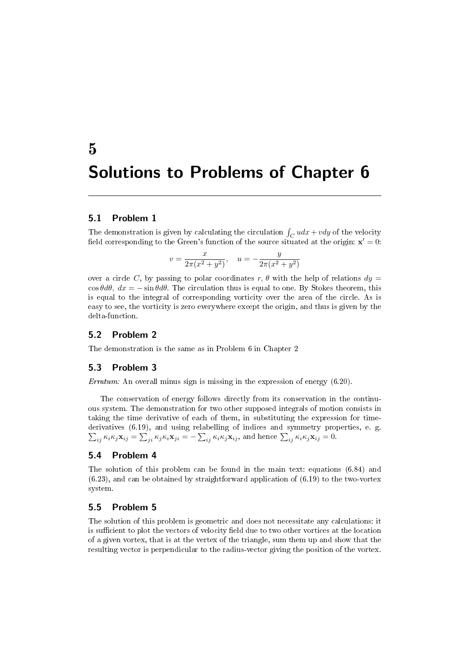# 5 Solutions to Problems of Chapter 6

# 5.1 Problem 1

The demonstration is given by calculating the circulation  $\int_C u dx + v dy$  of the velocity field corresponding to the Green's function of the source situated at the origin:  $\mathbf{x}' = 0$ :

$$
v = \frac{x}{2\pi(x^2 + y^2)}, \quad u = -\frac{y}{2\pi(x^2 + y^2)}
$$

over a circle C, by passing to polar coordinates r,  $\theta$  with the help of relations  $dy =$  $\cos \theta d\theta$ ,  $dx = -\sin \theta d\theta$ . The circulation thus is equal to one. By Stokes theorem, this is equal to the integral of corresponding vorticity over the area of the circle. As is easy to see, the vorticity is zero everywhere except the origin, and thus is given by the delta-function.

# 5.2 Problem 2

The demonstration is the same as in Problem 6 in Chapter 2

# 5.3 Problem 3

Erratum: An overall minus sign is missing in the expression of energy (6.20).

The conservation of energy follows directly from its conservation in the continuous system. The demonstration for two other supposed integrals of motion consists in taking the time derivative of each of them, in substituting the expression for timederivatives (6.19), and using relabelling of indices and symmetry properties, e. g.  $\sum_{ij} \kappa_i \kappa_j \mathbf{x}_{ij} = \sum_{ji} \kappa_j \kappa_i \mathbf{x}_{ji} = -\sum_{ij} \kappa_i \kappa_j \mathbf{x}_{ij}$ , and hence  $\sum_{ij} \kappa_i \kappa_j \mathbf{x}_{ij} = 0$ .

### 5.4 Problem 4

The solution of this problem can be found in the main text: equations (6.84) and  $(6.23)$ , and can be obtained by straightforward application of  $(6.19)$  to the two-vortex system.

#### 5.5 Problem 5

The solution of this problem is geometric and does not necessitate any calculations: it is sufficient to plot the vectors of velocity field due to two other vortices at the location of a given vortex, that is at the vertex of the triangle, sum them up and show that the resulting vector is perpendicular to the radius-vector giving the position of the vortex.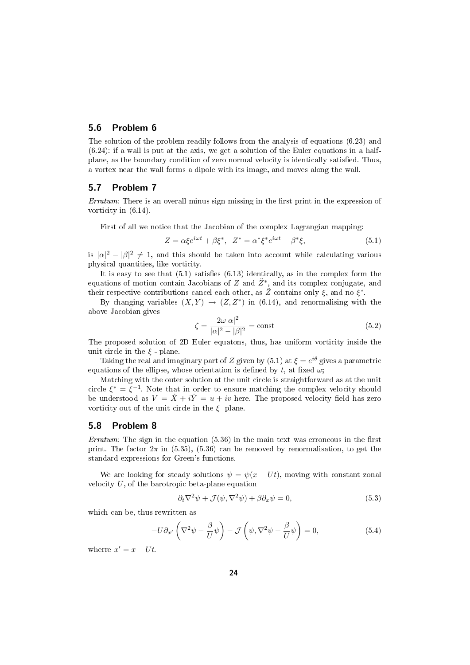#### 5.6 Problem 6

The solution of the problem readily follows from the analysis of equations (6.23) and (6.24): if a wall is put at the axis, we get a solution of the Euler equations in a halfplane, as the boundary condition of zero normal velocity is identically satised. Thus, a vortex near the wall forms a dipole with its image, and moves along the wall.

#### 5.7 Problem 7

*Erratum:* There is an overall minus sign missing in the first print in the expression of vorticity in (6.14).

First of all we notice that the Jacobian of the complex Lagrangian mapping:

$$
Z = \alpha \xi e^{i\omega t} + \beta \xi^*, \quad Z^* = \alpha^* \xi^* e^{i\omega t} + \beta^* \xi,
$$
\n
$$
(5.1)
$$

is  $|\alpha|^2 - |\beta|^2 \neq 1$ , and this should be taken into account while calculating various physical quantities, like vorticity.

It is easy to see that  $(5.1)$  satisfies  $(6.13)$  identically, as in the complex form the equations of motion contain Jacobians of  $Z$  and  $\ddot{Z}^*$ , and its complex conjugate, and their respective contributions cancel each other, as  $\ddot{Z}$  contains only  $\xi$ , and no  $\xi^*$ .

By changing variables  $(X, Y) \rightarrow (Z, Z^*)$  in (6.14), and renormalising with the above Jacobian gives

$$
\zeta = \frac{2\omega|\alpha|^2}{|\alpha|^2 - |\beta|^2} = \text{const}
$$
\n(5.2)

The proposed solution of 2D Euler equatons, thus, has uniform vorticity inside the unit circle in the  $\xi$  - plane.

Taking the real and imaginary part of Z given by (5.1) at  $\xi = e^{i\theta}$  gives a parametric equations of the ellipse, whose orientation is defined by t, at fixed  $\omega$ ;

Matching with the outer solution at the unit circle is straightforward as at the unit circle  $\xi^* = \xi^{-1}$ . Note that in order to ensure matching the complex velocity should be understood as  $V = \dot{X} + i\dot{Y} = u + iv$  here. The proposed velocity field has zero vorticity out of the unit circle in the  $\xi$ - plane.

#### 5.8 Problem 8

Erratum: The sign in the equation  $(5.36)$  in the main text was erroneous in the first print. The factor  $2\pi$  in (5.35), (5.36) can be removed by renormalisation, to get the standard expressions for Green's functions.

We are looking for steady solutions  $\psi = \psi(x - Ut)$ , moving with constant zonal velocity  $U$ , of the barotropic beta-plane equation

$$
\partial_t \nabla^2 \psi + \mathcal{J}(\psi, \nabla^2 \psi) + \beta \partial_x \psi = 0, \tag{5.3}
$$

which can be, thus rewritten as

$$
-U\partial_{x'}\left(\nabla^2\psi - \frac{\beta}{U}\psi\right) - \mathcal{J}\left(\psi, \nabla^2\psi - \frac{\beta}{U}\psi\right) = 0, \tag{5.4}
$$

wherre  $x' = x - Ut$ .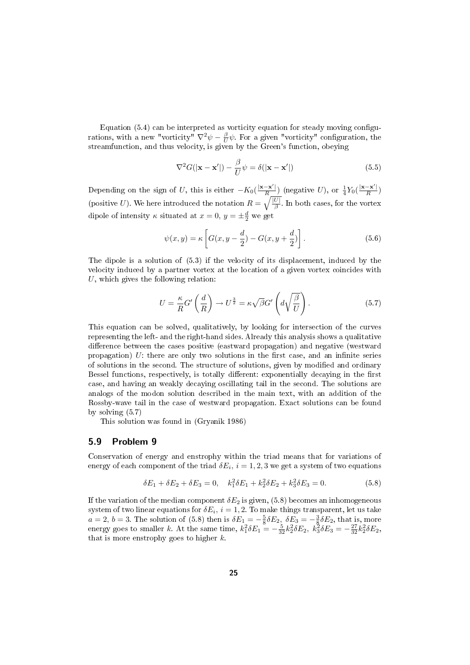Equation  $(5.4)$  can be interpreted as vorticity equation for steady moving configurations, with a new "vorticity"  $\nabla^2 \psi - \frac{\beta}{U} \psi$ . For a given "vorticity" configuration, the streamfunction, and thus velocity, is given by the Green's function, obeying

$$
\nabla^2 G(|\mathbf{x} - \mathbf{x}'|) - \frac{\beta}{U} \psi = \delta(|\mathbf{x} - \mathbf{x}'|)
$$
\n(5.5)

Depending on the sign of U, this is either  $-K_0(\frac{|\mathbf{x}-\mathbf{x}'|}{R})$  $\frac{-\mathbf{x}'|}{R}$ ) (negative U), or  $\frac{1}{4}Y_0(\frac{|\mathbf{x}-\mathbf{x}'|}{R})$  $\frac{-\mathbf{x}}{R}$ ) (positive U). We here introduced the notation  $R = \sqrt{\frac{|U|}{\beta}}$ . In both cases, for the vortex dipole of intensity  $\kappa$  situated at  $x = 0$ ,  $y = \pm \frac{d}{2}$  we get

$$
\psi(x,y) = \kappa \left[ G(x,y - \frac{d}{2}) - G(x,y + \frac{d}{2}) \right].
$$
\n(5.6)

The dipole is a solution of (5.3) if the velocity of its displacement, induced by the velocity induced by a partner vortex at the location of a given vortex coincides with  $U$ , which gives the following relation:

$$
U = \frac{\kappa}{R} G' \left( \frac{d}{R} \right) \to U^{\frac{3}{2}} = \kappa \sqrt{\beta} G' \left( d \sqrt{\frac{\beta}{U}} \right). \tag{5.7}
$$

This equation can be solved, qualitatively, by looking for intersection of the curves representing the left- and the right-hand sides. Already this analysis shows a qualitative difference between the cases positive (eastward propagation) and negative (westward propagation)  $U$ : there are only two solutions in the first case, and an infinite series of solutions in the second. The structure of solutions, given by modified and ordinary Bessel functions, respectively, is totally different: exponentially decaying in the first case, and having an weakly decaying oscillating tail in the second. The solutions are analogs of the modon solution described in the main text, with an addition of the Rossby-wave tail in the case of westward propagation. Exact solutions can be found by solving (5.7)

This solution was found in (Gryanik 1986)

#### 5.9 Problem 9

Conservation of energy and enstrophy within the triad means that for variations of energy of each component of the triad  $\delta E_i$ ,  $i = 1, 2, 3$  we get a system of two equations

$$
\delta E_1 + \delta E_2 + \delta E_3 = 0, \quad k_1^2 \delta E_1 + k_2^2 \delta E_2 + k_3^2 \delta E_3 = 0. \tag{5.8}
$$

If the variation of the median component  $\delta E_2$  is given, (5.8) becomes an inhomogeneous system of two linear equations for  $\delta E_i$ ,  $i = 1, 2$ . To make things transparent, let us take  $a = 2, b = 3$ . The solution of (5.8) then is  $\delta E_1 = -\frac{5}{8} \delta E_2$ ,  $\delta E_3 = -\frac{3}{8} \delta E_2$ , that is, more energy goes to smaller k. At the same time,  $k_1^2 \delta E_1 = -\frac{5}{32} k_2^2 \delta E_2$ ,  $k_3^2 \delta E_3 = -\frac{27}{32} k_2^2 \delta E_2$ , that is more enstrophy goes to higher  $k$ .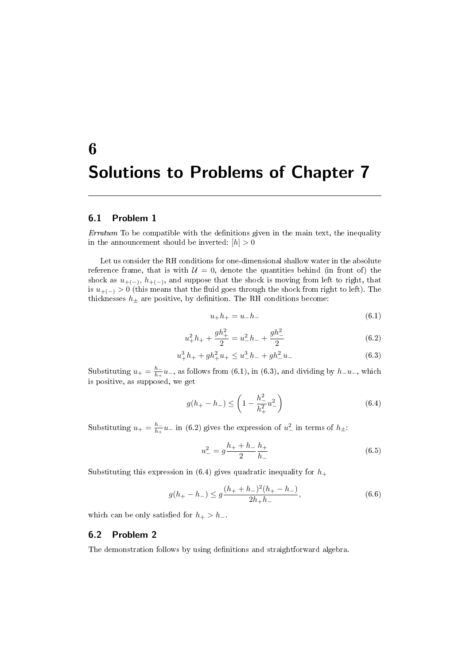# 6 Solutions to Problems of Chapter 7

## 6.1 Problem 1

 $Erratum$  To be compatible with the definitions given in the main text, the inequality in the announcement should be inverted:  $\left[ h\right] >0$ 

Let us consider the RH conditions for one-dimensional shallow water in the absolute reference frame, that is with  $U = 0$ , denote the quantities behind (in front of) the shock as  $u_{+(-)}$ ,  $h_{+(-)}$ , and suppose that the shock is moving from left to right, that is  $u_{+(-)} > 0$  (this means that the fluid goes through the shock from right to left). The thicknesses  $h_{\pm}$  are positive, by definition. The RH conditions become:

$$
u_{+}h_{+} = u_{-}h_{-} \tag{6.1}
$$

$$
u_+^2 h_+ + \frac{gh_+^2}{2} = u_-^2 h_- + \frac{gh_-^2}{2}
$$
\n
$$
(6.2)
$$

$$
u_+^3 h_+ + g h_+^2 u_+ \le u_-^3 h_- + g h_-^2 u_- \tag{6.3}
$$

Substituting  $u_+ = \frac{h_-}{h_+}$  $\frac{n_-}{h_+}u_-,$  as follows from (6.1), in (6.3), and dividing by  $h_-u_-,$  which is positive, as supposed, we get

$$
g(h_{+}-h_{-}) \leq \left(1 - \frac{h_{-}^{2}}{h_{+}^{2}}u_{-}^{2}\right) \tag{6.4}
$$

Substituting  $u_+ = \frac{h_-}{h_+}$  $\frac{h_-}{h_+}u_-$  in (6.2) gives the expression of  $u_-^2$  in terms of  $h_{\pm}$ :

$$
u_{-}^{2} = g \frac{h_{+} + h_{-}}{2} \frac{h_{+}}{h_{-}}
$$
\n(6.5)

Substituting this expression in (6.4) gives quadratic inequality for  $h_+$ 

$$
g(h_{+}-h_{-}) \le g \frac{(h_{+}+h_{-})^2(h_{+}-h_{-})}{2h_{+}h_{-}}, \tag{6.6}
$$

which can be only satisfied for  $h_{+} > h_{-}$ .

# 6.2 Problem 2

The demonstration follows by using definitions and straightforward algebra.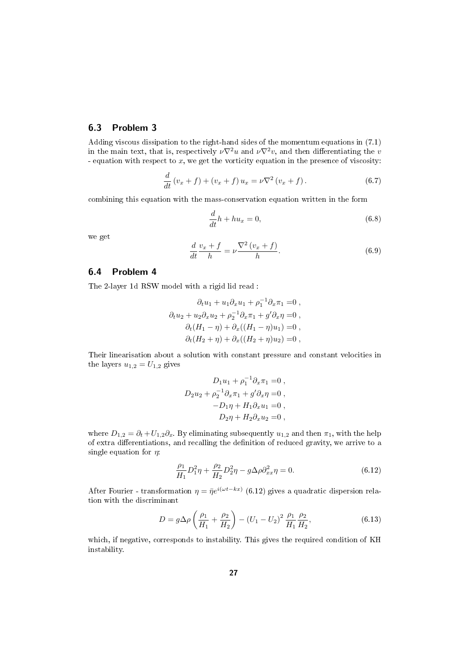# 6.3 Problem 3

Adding viscous dissipation to the right-hand sides of the momentum equations in (7.1) in the main text, that is, respectively  $\nu \nabla^2 u$  and  $\nu \nabla^2 v$ , and then differentiating the v - equation with respect to  $x$ , we get the vorticity equation in the presence of viscosity:

$$
\frac{d}{dt}(v_x + f) + (v_x + f) u_x = \nu \nabla^2 (v_x + f).
$$
\n(6.7)

combining this equation with the mass-conservation equation written in the form

$$
\frac{d}{dt}h + hu_x = 0,\t\t(6.8)
$$

we get

$$
\frac{d}{dt}\frac{v_x + f}{h} = \nu \frac{\nabla^2 (v_x + f)}{h}.
$$
\n(6.9)

#### 6.4 Problem 4

The 2-layer 1d RSW model with a rigid lid read :

$$
\partial_t u_1 + u_1 \partial_x u_1 + \rho_1^{-1} \partial_x \pi_1 = 0 ,
$$
  
\n
$$
\partial_t u_2 + u_2 \partial_x u_2 + \rho_2^{-1} \partial_x \pi_1 + g' \partial_x \eta = 0 ,
$$
  
\n
$$
\partial_t (H_1 - \eta) + \partial_x ((H_1 - \eta) u_1) = 0 ,
$$
  
\n
$$
\partial_t (H_2 + \eta) + \partial_x ((H_2 + \eta) u_2) = 0 ,
$$

Their linearisation about a solution with constant pressure and constant velocities in the layers  $u_{1,2} = U_{1,2}$  gives

$$
D_1 u_1 + \rho_1^{-1} \partial_x \pi_1 = 0 ,
$$
  
\n
$$
D_2 u_2 + \rho_2^{-1} \partial_x \pi_1 + g' \partial_x \eta = 0 ,
$$
  
\n
$$
-D_1 \eta + H_1 \partial_x u_1 = 0 ,
$$
  
\n
$$
D_2 \eta + H_2 \partial_x u_2 = 0 ,
$$

where  $D_{1,2} = \partial_t + U_{1,2}\partial_x$ . By eliminating subsequently  $u_{1,2}$  and then  $\pi_1$ , with the help of extra differentiations, and recalling the definition of reduced gravity, we arrive to a single equation for  $\eta$ :

$$
\frac{\rho_1}{H_1}D_1^2\eta + \frac{\rho_2}{H_2}D_2^2\eta - g\Delta\rho \partial_{xx}^2\eta = 0.
$$
 (6.12)

After Fourier - transformation  $\eta = \bar{\eta}e^{i(\omega t - kx)}$  (6.12) gives a quadratic dispersion relation with the discriminant

$$
D = g\Delta\rho \left(\frac{\rho_1}{H_1} + \frac{\rho_2}{H_2}\right) - \left(U_1 - U_2\right)^2 \frac{\rho_1}{H_1} \frac{\rho_2}{H_2},\tag{6.13}
$$

which, if negative, corresponds to instability. This gives the required condition of KH instability.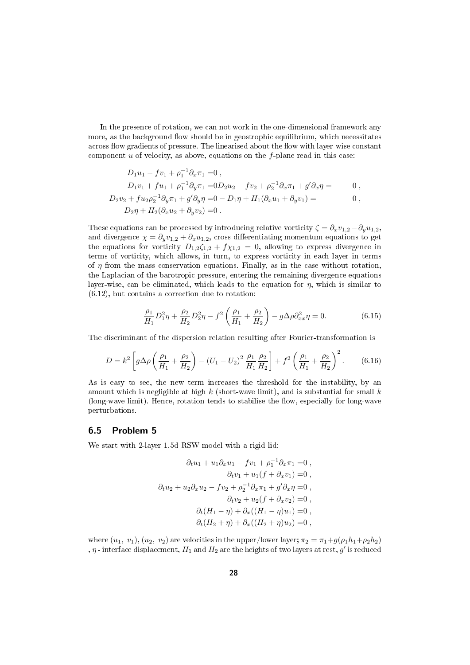In the presence of rotation, we can not work in the one-dimensional framework any more, as the background flow should be in geostrophic equilibrium, which necessitates across-flow gradients of pressure. The linearised about the flow with layer-wise constant component  $u$  of velocity, as above, equations on the  $f$ -plane read in this case:

$$
D_1u_1 - fv_1 + \rho_1^{-1}\partial_x \pi_1 = 0,
$$
  
\n
$$
D_1v_1 + fu_1 + \rho_1^{-1}\partial_y \pi_1 = 0
$$
  
\n
$$
D_2v_2 + fu_2\rho_2^{-1}\partial_y \pi_1 + g'\partial_y \eta = 0 - D_1\eta + H_1(\partial_x u_1 + \partial_y v_1) = 0,
$$
  
\n
$$
D_2\eta + H_2(\partial_x u_2 + \partial_y v_2) = 0.
$$

These equations can be processed by introducing relative vorticity  $\zeta = \partial_x v_{1,2} - \partial_y u_{1,2}$ , and divergence  $\chi = \partial_y v_{1,2} + \partial_x u_{1,2}$ , cross differentiating momentum equations to get the equations for vorticity  $D_{1,2}\zeta_{1,2} + f\chi_{1,2} = 0$ , allowing to express divergence in terms of vorticity, which allows, in turn, to express vorticity in each layer in terms of  $\eta$  from the mass conservation equations. Finally, as in the case without rotation, the Laplacian of the barotropic pressure, entering the remaining divergence equations layer-wise, can be eliminated, which leads to the equation for  $\eta$ , which is similar to (6.12), but contains a correction due to rotation:

$$
\frac{\rho_1}{H_1}D_1^2\eta + \frac{\rho_2}{H_2}D_2^2\eta - f^2\left(\frac{\rho_1}{H_1} + \frac{\rho_2}{H_2}\right) - g\Delta\rho\partial_{xx}^2\eta = 0.
$$
 (6.15)

The discriminant of the dispersion relation resulting after Fourier-transformation is

$$
D = k^2 \left[ g \Delta \rho \left( \frac{\rho_1}{H_1} + \frac{\rho_2}{H_2} \right) - \left( U_1 - U_2 \right)^2 \frac{\rho_1}{H_1} \frac{\rho_2}{H_2} \right] + f^2 \left( \frac{\rho_1}{H_1} + \frac{\rho_2}{H_2} \right)^2.
$$
 (6.16)

As is easy to see, the new term increases the threshold for the instability, by an amount which is negligible at high  $k$  (short-wave limit), and is substantial for small  $k$ (long-wave limit). Hence, rotation tends to stabilise the flow, especially for long-wave perturbations.

#### 6.5 Problem 5

We start with 2-layer 1.5d RSW model with a rigid lid:

$$
\partial_t u_1 + u_1 \partial_x u_1 - f v_1 + \rho_1^{-1} \partial_x \pi_1 = 0 ,
$$
  
\n
$$
\partial_t v_1 + u_1 (f + \partial_x v_1) = 0 ,
$$
  
\n
$$
\partial_t u_2 + u_2 \partial_x u_2 - f v_2 + \rho_2^{-1} \partial_x \pi_1 + g' \partial_x \eta = 0 ,
$$
  
\n
$$
\partial_t v_2 + u_2 (f + \partial_x v_2) = 0 ,
$$
  
\n
$$
\partial_t (H_1 - \eta) + \partial_x ((H_1 - \eta) u_1) = 0 ,
$$
  
\n
$$
\partial_t (H_2 + \eta) + \partial_x ((H_2 + \eta) u_2) = 0 ,
$$

where  $(u_1, v_1), (u_2, v_2)$  are velocities in the upper/lower layer;  $\pi_2 = \pi_1 + g(\rho_1 h_1 + \rho_2 h_2)$ ,  $\eta$  - interface displacement,  $H_1$  and  $H_2$  are the heights of two layers at rest,  $g'$  is reduced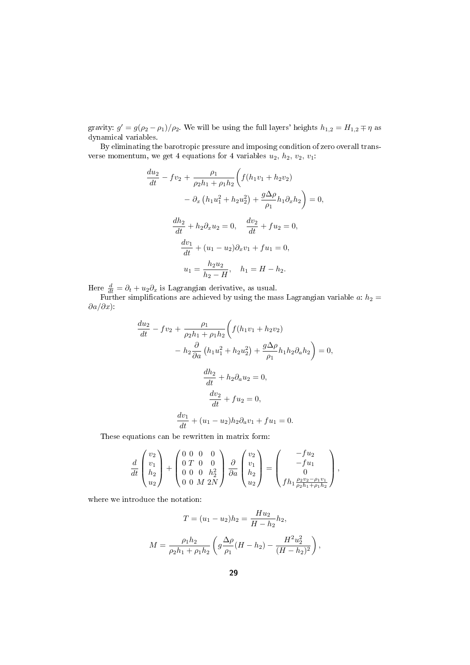gravity:  $g' = g(\rho_2 - \rho_1)/\rho_2$ . We will be using the full layers' heights  $h_{1,2} = H_{1,2} \mp \eta$  as dynamical variables.

By eliminating the barotropic pressure and imposing condition of zero overall transverse momentum, we get 4 equations for 4 variables  $u_2$ ,  $h_2$ ,  $v_2$ ,  $v_1$ :

$$
\frac{du_2}{dt} - fv_2 + \frac{\rho_1}{\rho_2 h_1 + \rho_1 h_2} \left( f(h_1 v_1 + h_2 v_2) - \partial_x \left( h_1 u_1^2 + h_2 u_2^2 \right) + \frac{g \Delta \rho}{\rho_1} h_1 \partial_x h_2 \right) = 0,
$$
  

$$
\frac{dh_2}{dt} + h_2 \partial_x u_2 = 0, \quad \frac{dv_2}{dt} + fu_2 = 0,
$$
  

$$
\frac{dv_1}{dt} + (u_1 - u_2) \partial_x v_1 + fu_1 = 0,
$$
  

$$
u_1 = \frac{h_2 u_2}{h_2 - H}, \quad h_1 = H - h_2.
$$

Here  $\frac{d}{dt} = \partial_t + u_2 \partial_x$  is Lagrangian derivative, as usual.

Further simplifications are achieved by using the mass Lagrangian variable a:  $h_2 =$  $\partial a/\partial x$ ):

$$
\frac{du_2}{dt} - fv_2 + \frac{\rho_1}{\rho_2 h_1 + \rho_1 h_2} \left( f(h_1 v_1 + h_2 v_2) - h_2 \frac{\partial}{\partial a} (h_1 u_1^2 + h_2 u_2^2) + \frac{g \Delta \rho}{\rho_1} h_1 h_2 \partial_a h_2 \right) = 0,
$$
  

$$
\frac{dh_2}{dt} + h_2 \partial_a u_2 = 0,
$$
  

$$
\frac{dv_2}{dt} + fu_2 = 0,
$$
  

$$
\frac{dv_1}{dt} + (u_1 - u_2) h_2 \partial_a v_1 + fu_1 = 0.
$$

These equations can be rewritten in matrix form:

$$
\frac{d}{dt} \begin{pmatrix} v_2 \\ v_1 \\ h_2 \\ u_2 \end{pmatrix} + \begin{pmatrix} 0 & 0 & 0 & 0 \\ 0 & T & 0 & 0 \\ 0 & 0 & 0 & h_2^2 \\ 0 & 0 & M & 2N \end{pmatrix} \frac{\partial}{\partial a} \begin{pmatrix} v_2 \\ v_1 \\ h_2 \\ u_2 \end{pmatrix} = \begin{pmatrix} -fu_2 \\ -fu_1 \\ 0 \\ fh_1 \frac{\rho_2 v_2 - \rho_1 v_1}{\rho_2 h_1 + \rho_1 h_2} \end{pmatrix},
$$

where we introduce the notation:

$$
T = (u_1 - u_2)h_2 = \frac{Hu_2}{H - h_2}h_2,
$$
  

$$
M = \frac{\rho_1 h_2}{\rho_2 h_1 + \rho_1 h_2} \left( g \frac{\Delta \rho}{\rho_1} (H - h_2) - \frac{H^2 u_2^2}{(H - h_2)^2} \right),
$$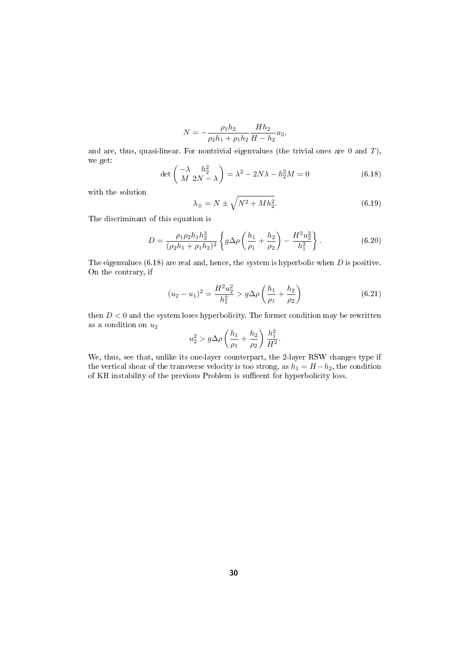$$
N = -\frac{\rho_1 h_2}{\rho_2 h_1 + \rho_1 h_2} \frac{H h_2}{H - h_2} u_2,
$$

and are, thus, quasi-linear. For nontrivial eigenvalues (the trivial ones are 0 and T), we get:

$$
\det\begin{pmatrix} -\lambda & h_2^2 \\ M & 2N - \lambda \end{pmatrix} = \lambda^2 - 2N\lambda - h_2^2M = 0
$$
\n(6.18)

with the solution

$$
\lambda_{\pm} = N \pm \sqrt{N^2 + M h_2^2}.\tag{6.19}
$$

The discriminant of this equation is

$$
D = \frac{\rho_1 \rho_2 h_1 h_2^3}{(\rho_2 h_1 + \rho_1 h_2)^2} \left\{ g \Delta \rho \left( \frac{h_1}{\rho_1} + \frac{h_2}{\rho_2} \right) - \frac{H^2 u_2^2}{h_1^2} \right\}.
$$
 (6.20)

The eigenvalues  $(6.18)$  are real and, hence, the system is hyperbolic when  $D$  is positive. On the contrary, if

$$
(u_2 - u_1)^2 = \frac{H^2 u_2^2}{h_1^2} > g\Delta\rho \left(\frac{h_1}{\rho_1} + \frac{h_2}{\rho_2}\right)
$$
(6.21)

then  $D < 0$  and the system loses hyperbolicity. The former condition may be rewritten as a condition on  $u_2$ 

$$
u_2^2 > g\Delta\rho \left(\frac{h_1}{\rho_1} + \frac{h_2}{\rho_2}\right) \frac{h_1^2}{H^2}.
$$

We, thus, see that, unlike its one-layer counterpart, the 2-layer RSW changes type if the vertical shear of the transverse velocity is too strong. as  $h_1 = H - h_2$ , the condition of KH instability of the previous Problem is sufficent for hyperbolicity loss.